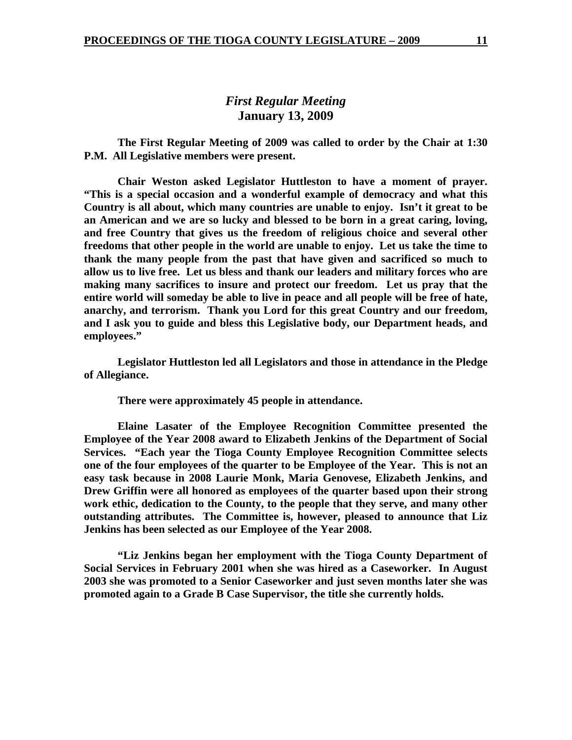# *First Regular Meeting*  **January 13, 2009**

 **The First Regular Meeting of 2009 was called to order by the Chair at 1:30 P.M. All Legislative members were present.** 

**Chair Weston asked Legislator Huttleston to have a moment of prayer. "This is a special occasion and a wonderful example of democracy and what this Country is all about, which many countries are unable to enjoy. Isn't it great to be an American and we are so lucky and blessed to be born in a great caring, loving, and free Country that gives us the freedom of religious choice and several other freedoms that other people in the world are unable to enjoy. Let us take the time to thank the many people from the past that have given and sacrificed so much to allow us to live free. Let us bless and thank our leaders and military forces who are making many sacrifices to insure and protect our freedom. Let us pray that the entire world will someday be able to live in peace and all people will be free of hate, anarchy, and terrorism. Thank you Lord for this great Country and our freedom, and I ask you to guide and bless this Legislative body, our Department heads, and employees."** 

 **Legislator Huttleston led all Legislators and those in attendance in the Pledge of Allegiance.** 

 **There were approximately 45 people in attendance.** 

**Elaine Lasater of the Employee Recognition Committee presented the Employee of the Year 2008 award to Elizabeth Jenkins of the Department of Social Services. "Each year the Tioga County Employee Recognition Committee selects one of the four employees of the quarter to be Employee of the Year. This is not an easy task because in 2008 Laurie Monk, Maria Genovese, Elizabeth Jenkins, and Drew Griffin were all honored as employees of the quarter based upon their strong work ethic, dedication to the County, to the people that they serve, and many other outstanding attributes. The Committee is, however, pleased to announce that Liz Jenkins has been selected as our Employee of the Year 2008.** 

**"Liz Jenkins began her employment with the Tioga County Department of Social Services in February 2001 when she was hired as a Caseworker. In August 2003 she was promoted to a Senior Caseworker and just seven months later she was promoted again to a Grade B Case Supervisor, the title she currently holds.**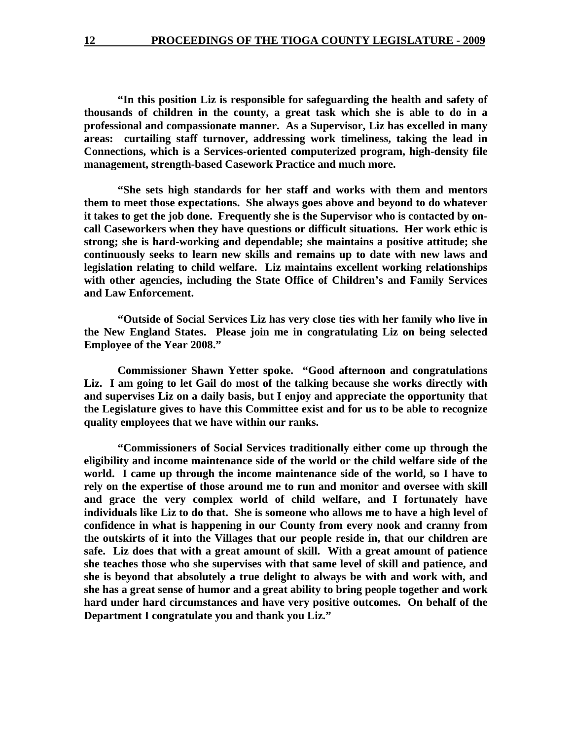**"In this position Liz is responsible for safeguarding the health and safety of thousands of children in the county, a great task which she is able to do in a professional and compassionate manner. As a Supervisor, Liz has excelled in many areas: curtailing staff turnover, addressing work timeliness, taking the lead in Connections, which is a Services-oriented computerized program, high-density file management, strength-based Casework Practice and much more.** 

**"She sets high standards for her staff and works with them and mentors them to meet those expectations. She always goes above and beyond to do whatever it takes to get the job done. Frequently she is the Supervisor who is contacted by oncall Caseworkers when they have questions or difficult situations. Her work ethic is strong; she is hard-working and dependable; she maintains a positive attitude; she continuously seeks to learn new skills and remains up to date with new laws and legislation relating to child welfare. Liz maintains excellent working relationships with other agencies, including the State Office of Children's and Family Services and Law Enforcement.** 

**"Outside of Social Services Liz has very close ties with her family who live in the New England States. Please join me in congratulating Liz on being selected Employee of the Year 2008."** 

 **Commissioner Shawn Yetter spoke. "Good afternoon and congratulations Liz. I am going to let Gail do most of the talking because she works directly with and supervises Liz on a daily basis, but I enjoy and appreciate the opportunity that the Legislature gives to have this Committee exist and for us to be able to recognize quality employees that we have within our ranks.** 

**"Commissioners of Social Services traditionally either come up through the eligibility and income maintenance side of the world or the child welfare side of the world. I came up through the income maintenance side of the world, so I have to rely on the expertise of those around me to run and monitor and oversee with skill and grace the very complex world of child welfare, and I fortunately have individuals like Liz to do that. She is someone who allows me to have a high level of confidence in what is happening in our County from every nook and cranny from the outskirts of it into the Villages that our people reside in, that our children are safe. Liz does that with a great amount of skill. With a great amount of patience she teaches those who she supervises with that same level of skill and patience, and she is beyond that absolutely a true delight to always be with and work with, and she has a great sense of humor and a great ability to bring people together and work hard under hard circumstances and have very positive outcomes. On behalf of the Department I congratulate you and thank you Liz."**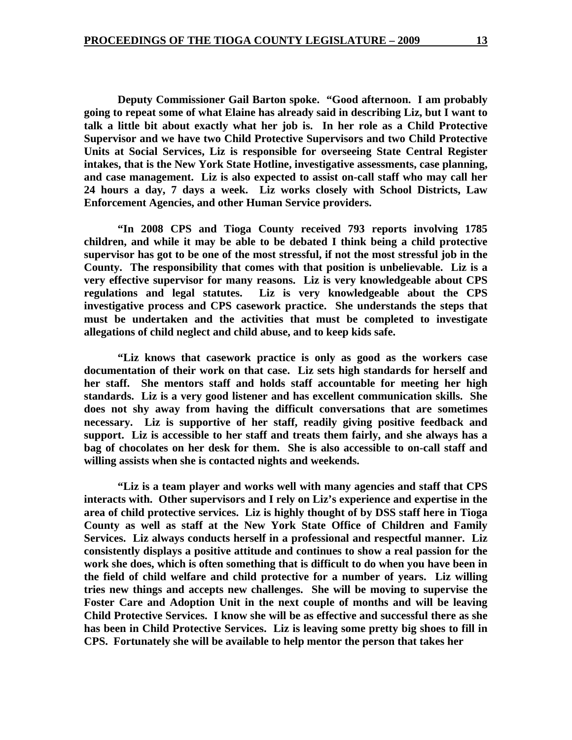**Deputy Commissioner Gail Barton spoke. "Good afternoon. I am probably going to repeat some of what Elaine has already said in describing Liz, but I want to talk a little bit about exactly what her job is. In her role as a Child Protective Supervisor and we have two Child Protective Supervisors and two Child Protective Units at Social Services, Liz is responsible for overseeing State Central Register intakes, that is the New York State Hotline, investigative assessments, case planning, and case management. Liz is also expected to assist on-call staff who may call her 24 hours a day, 7 days a week. Liz works closely with School Districts, Law Enforcement Agencies, and other Human Service providers.** 

 **"In 2008 CPS and Tioga County received 793 reports involving 1785 children, and while it may be able to be debated I think being a child protective supervisor has got to be one of the most stressful, if not the most stressful job in the County. The responsibility that comes with that position is unbelievable. Liz is a very effective supervisor for many reasons. Liz is very knowledgeable about CPS regulations and legal statutes. Liz is very knowledgeable about the CPS investigative process and CPS casework practice. She understands the steps that must be undertaken and the activities that must be completed to investigate allegations of child neglect and child abuse, and to keep kids safe.** 

 **"Liz knows that casework practice is only as good as the workers case documentation of their work on that case. Liz sets high standards for herself and her staff. She mentors staff and holds staff accountable for meeting her high standards. Liz is a very good listener and has excellent communication skills. She does not shy away from having the difficult conversations that are sometimes necessary. Liz is supportive of her staff, readily giving positive feedback and support. Liz is accessible to her staff and treats them fairly, and she always has a bag of chocolates on her desk for them. She is also accessible to on-call staff and willing assists when she is contacted nights and weekends.** 

**"Liz is a team player and works well with many agencies and staff that CPS interacts with. Other supervisors and I rely on Liz's experience and expertise in the area of child protective services. Liz is highly thought of by DSS staff here in Tioga County as well as staff at the New York State Office of Children and Family Services. Liz always conducts herself in a professional and respectful manner. Liz consistently displays a positive attitude and continues to show a real passion for the work she does, which is often something that is difficult to do when you have been in the field of child welfare and child protective for a number of years. Liz willing tries new things and accepts new challenges. She will be moving to supervise the Foster Care and Adoption Unit in the next couple of months and will be leaving Child Protective Services. I know she will be as effective and successful there as she has been in Child Protective Services. Liz is leaving some pretty big shoes to fill in CPS. Fortunately she will be available to help mentor the person that takes her**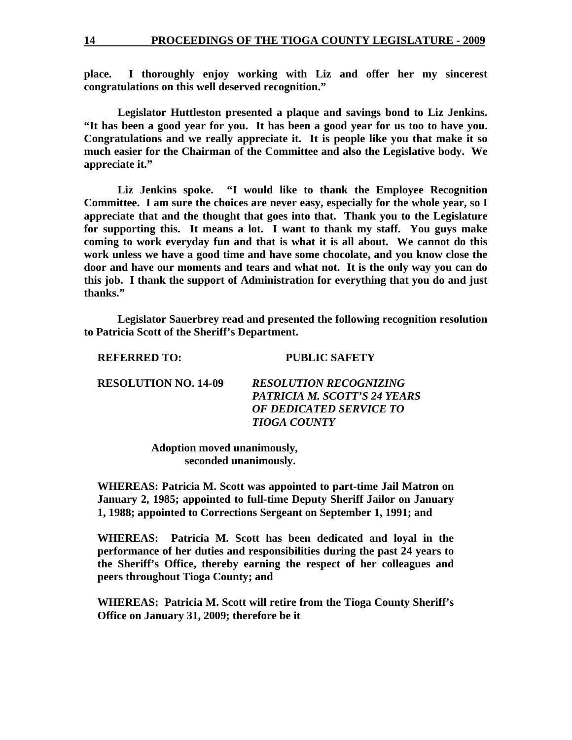**place. I thoroughly enjoy working with Liz and offer her my sincerest congratulations on this well deserved recognition."** 

 **Legislator Huttleston presented a plaque and savings bond to Liz Jenkins. "It has been a good year for you. It has been a good year for us too to have you. Congratulations and we really appreciate it. It is people like you that make it so much easier for the Chairman of the Committee and also the Legislative body. We appreciate it."** 

 **Liz Jenkins spoke. "I would like to thank the Employee Recognition Committee. I am sure the choices are never easy, especially for the whole year, so I appreciate that and the thought that goes into that. Thank you to the Legislature for supporting this. It means a lot. I want to thank my staff. You guys make coming to work everyday fun and that is what it is all about. We cannot do this work unless we have a good time and have some chocolate, and you know close the door and have our moments and tears and what not. It is the only way you can do this job. I thank the support of Administration for everything that you do and just thanks."** 

 **Legislator Sauerbrey read and presented the following recognition resolution to Patricia Scott of the Sheriff's Department.** 

| <b>REFERRED TO:</b> |  |
|---------------------|--|
|---------------------|--|

**REFERRED TO: PUBLIC SAFETY** 

| <b>RESOLUTION NO. 14-09</b> | <b>RESOLUTION RECOGNIZING</b> |
|-----------------------------|-------------------------------|
|                             | PATRICIA M. SCOTT'S 24 YEARS  |
|                             | OF DEDICATED SERVICE TO       |
|                             | <b>TIOGA COUNTY</b>           |

 **Adoption moved unanimously, seconded unanimously.** 

**WHEREAS: Patricia M. Scott was appointed to part-time Jail Matron on January 2, 1985; appointed to full-time Deputy Sheriff Jailor on January 1, 1988; appointed to Corrections Sergeant on September 1, 1991; and** 

**WHEREAS: Patricia M. Scott has been dedicated and loyal in the performance of her duties and responsibilities during the past 24 years to the Sheriff's Office, thereby earning the respect of her colleagues and peers throughout Tioga County; and** 

**WHEREAS: Patricia M. Scott will retire from the Tioga County Sheriff's Office on January 31, 2009; therefore be it**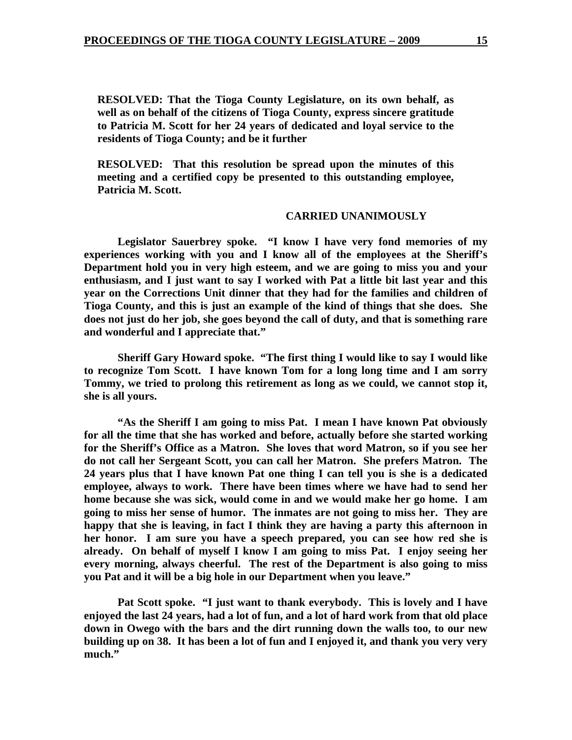**RESOLVED: That the Tioga County Legislature, on its own behalf, as well as on behalf of the citizens of Tioga County, express sincere gratitude to Patricia M. Scott for her 24 years of dedicated and loyal service to the residents of Tioga County; and be it further** 

**RESOLVED: That this resolution be spread upon the minutes of this meeting and a certified copy be presented to this outstanding employee, Patricia M. Scott.** 

### **CARRIED UNANIMOUSLY**

 **Legislator Sauerbrey spoke. "I know I have very fond memories of my experiences working with you and I know all of the employees at the Sheriff's Department hold you in very high esteem, and we are going to miss you and your enthusiasm, and I just want to say I worked with Pat a little bit last year and this year on the Corrections Unit dinner that they had for the families and children of Tioga County, and this is just an example of the kind of things that she does. She does not just do her job, she goes beyond the call of duty, and that is something rare and wonderful and I appreciate that."** 

 **Sheriff Gary Howard spoke. "The first thing I would like to say I would like to recognize Tom Scott. I have known Tom for a long long time and I am sorry Tommy, we tried to prolong this retirement as long as we could, we cannot stop it, she is all yours.** 

 **"As the Sheriff I am going to miss Pat. I mean I have known Pat obviously for all the time that she has worked and before, actually before she started working for the Sheriff's Office as a Matron. She loves that word Matron, so if you see her do not call her Sergeant Scott, you can call her Matron. She prefers Matron. The 24 years plus that I have known Pat one thing I can tell you is she is a dedicated employee, always to work. There have been times where we have had to send her home because she was sick, would come in and we would make her go home. I am going to miss her sense of humor. The inmates are not going to miss her. They are happy that she is leaving, in fact I think they are having a party this afternoon in her honor. I am sure you have a speech prepared, you can see how red she is already. On behalf of myself I know I am going to miss Pat. I enjoy seeing her every morning, always cheerful. The rest of the Department is also going to miss you Pat and it will be a big hole in our Department when you leave."** 

 **Pat Scott spoke. "I just want to thank everybody. This is lovely and I have enjoyed the last 24 years, had a lot of fun, and a lot of hard work from that old place down in Owego with the bars and the dirt running down the walls too, to our new building up on 38. It has been a lot of fun and I enjoyed it, and thank you very very much."**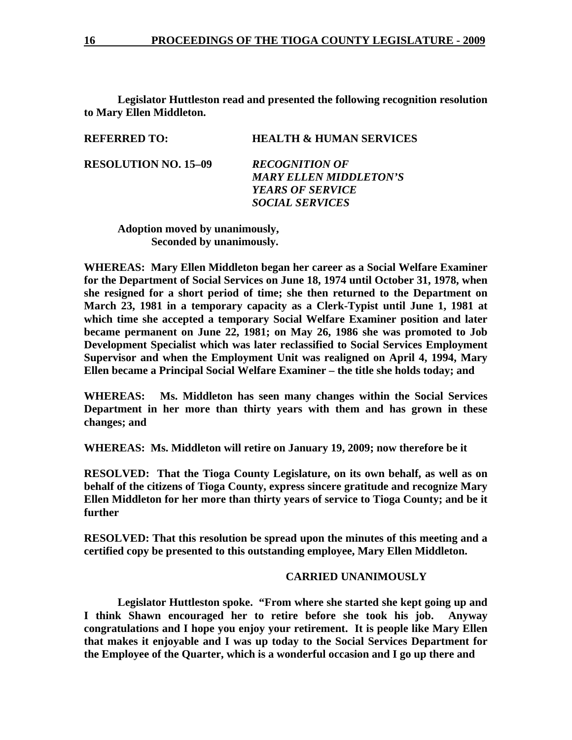**Legislator Huttleston read and presented the following recognition resolution to Mary Ellen Middleton.** 

| <b>REFERRED TO:</b>         | <b>HEALTH &amp; HUMAN SERVICES</b> |
|-----------------------------|------------------------------------|
| <b>RESOLUTION NO. 15–09</b> | <b>RECOGNITION OF</b>              |
|                             | <b>MARY ELLEN MIDDLETON'S</b>      |
|                             | <b>YEARS OF SERVICE</b>            |
|                             | <i><b>SOCIAL SERVICES</b></i>      |
|                             |                                    |

 **Adoption moved by unanimously, Seconded by unanimously.** 

**WHEREAS: Mary Ellen Middleton began her career as a Social Welfare Examiner for the Department of Social Services on June 18, 1974 until October 31, 1978, when she resigned for a short period of time; she then returned to the Department on March 23, 1981 in a temporary capacity as a Clerk-Typist until June 1, 1981 at which time she accepted a temporary Social Welfare Examiner position and later became permanent on June 22, 1981; on May 26, 1986 she was promoted to Job Development Specialist which was later reclassified to Social Services Employment Supervisor and when the Employment Unit was realigned on April 4, 1994, Mary Ellen became a Principal Social Welfare Examiner – the title she holds today; and** 

**WHEREAS: Ms. Middleton has seen many changes within the Social Services Department in her more than thirty years with them and has grown in these changes; and** 

**WHEREAS: Ms. Middleton will retire on January 19, 2009; now therefore be it** 

**RESOLVED: That the Tioga County Legislature, on its own behalf, as well as on behalf of the citizens of Tioga County, express sincere gratitude and recognize Mary Ellen Middleton for her more than thirty years of service to Tioga County; and be it further** 

**RESOLVED: That this resolution be spread upon the minutes of this meeting and a certified copy be presented to this outstanding employee, Mary Ellen Middleton.** 

# **CARRIED UNANIMOUSLY**

 **Legislator Huttleston spoke. "From where she started she kept going up and I think Shawn encouraged her to retire before she took his job. Anyway congratulations and I hope you enjoy your retirement. It is people like Mary Ellen that makes it enjoyable and I was up today to the Social Services Department for the Employee of the Quarter, which is a wonderful occasion and I go up there and**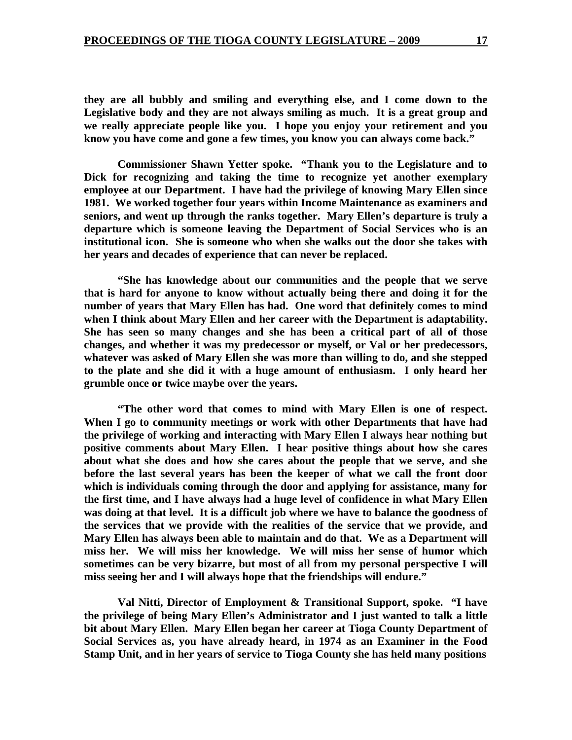**they are all bubbly and smiling and everything else, and I come down to the Legislative body and they are not always smiling as much. It is a great group and we really appreciate people like you. I hope you enjoy your retirement and you know you have come and gone a few times, you know you can always come back."** 

 **Commissioner Shawn Yetter spoke. "Thank you to the Legislature and to Dick for recognizing and taking the time to recognize yet another exemplary employee at our Department. I have had the privilege of knowing Mary Ellen since 1981. We worked together four years within Income Maintenance as examiners and seniors, and went up through the ranks together. Mary Ellen's departure is truly a departure which is someone leaving the Department of Social Services who is an institutional icon. She is someone who when she walks out the door she takes with her years and decades of experience that can never be replaced.** 

 **"She has knowledge about our communities and the people that we serve that is hard for anyone to know without actually being there and doing it for the number of years that Mary Ellen has had. One word that definitely comes to mind when I think about Mary Ellen and her career with the Department is adaptability. She has seen so many changes and she has been a critical part of all of those changes, and whether it was my predecessor or myself, or Val or her predecessors, whatever was asked of Mary Ellen she was more than willing to do, and she stepped to the plate and she did it with a huge amount of enthusiasm. I only heard her grumble once or twice maybe over the years.** 

 **"The other word that comes to mind with Mary Ellen is one of respect. When I go to community meetings or work with other Departments that have had the privilege of working and interacting with Mary Ellen I always hear nothing but positive comments about Mary Ellen. I hear positive things about how she cares about what she does and how she cares about the people that we serve, and she before the last several years has been the keeper of what we call the front door which is individuals coming through the door and applying for assistance, many for the first time, and I have always had a huge level of confidence in what Mary Ellen was doing at that level. It is a difficult job where we have to balance the goodness of the services that we provide with the realities of the service that we provide, and Mary Ellen has always been able to maintain and do that. We as a Department will miss her. We will miss her knowledge. We will miss her sense of humor which sometimes can be very bizarre, but most of all from my personal perspective I will miss seeing her and I will always hope that the friendships will endure."** 

 **Val Nitti, Director of Employment & Transitional Support, spoke. "I have the privilege of being Mary Ellen's Administrator and I just wanted to talk a little bit about Mary Ellen. Mary Ellen began her career at Tioga County Department of Social Services as, you have already heard, in 1974 as an Examiner in the Food Stamp Unit, and in her years of service to Tioga County she has held many positions**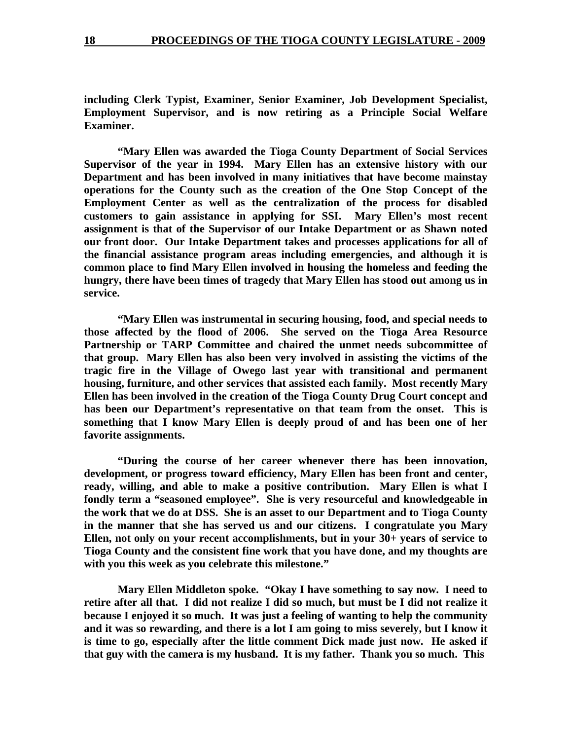**including Clerk Typist, Examiner, Senior Examiner, Job Development Specialist, Employment Supervisor, and is now retiring as a Principle Social Welfare Examiner.** 

 **"Mary Ellen was awarded the Tioga County Department of Social Services Supervisor of the year in 1994. Mary Ellen has an extensive history with our Department and has been involved in many initiatives that have become mainstay operations for the County such as the creation of the One Stop Concept of the Employment Center as well as the centralization of the process for disabled customers to gain assistance in applying for SSI. Mary Ellen's most recent assignment is that of the Supervisor of our Intake Department or as Shawn noted our front door. Our Intake Department takes and processes applications for all of the financial assistance program areas including emergencies, and although it is common place to find Mary Ellen involved in housing the homeless and feeding the hungry, there have been times of tragedy that Mary Ellen has stood out among us in service.** 

 **"Mary Ellen was instrumental in securing housing, food, and special needs to those affected by the flood of 2006. She served on the Tioga Area Resource Partnership or TARP Committee and chaired the unmet needs subcommittee of that group. Mary Ellen has also been very involved in assisting the victims of the tragic fire in the Village of Owego last year with transitional and permanent housing, furniture, and other services that assisted each family. Most recently Mary Ellen has been involved in the creation of the Tioga County Drug Court concept and has been our Department's representative on that team from the onset. This is something that I know Mary Ellen is deeply proud of and has been one of her favorite assignments.** 

 **"During the course of her career whenever there has been innovation, development, or progress toward efficiency, Mary Ellen has been front and center, ready, willing, and able to make a positive contribution. Mary Ellen is what I fondly term a "seasoned employee". She is very resourceful and knowledgeable in the work that we do at DSS. She is an asset to our Department and to Tioga County in the manner that she has served us and our citizens. I congratulate you Mary Ellen, not only on your recent accomplishments, but in your 30+ years of service to Tioga County and the consistent fine work that you have done, and my thoughts are with you this week as you celebrate this milestone."** 

 **Mary Ellen Middleton spoke. "Okay I have something to say now. I need to retire after all that. I did not realize I did so much, but must be I did not realize it because I enjoyed it so much. It was just a feeling of wanting to help the community and it was so rewarding, and there is a lot I am going to miss severely, but I know it is time to go, especially after the little comment Dick made just now. He asked if that guy with the camera is my husband. It is my father. Thank you so much. This**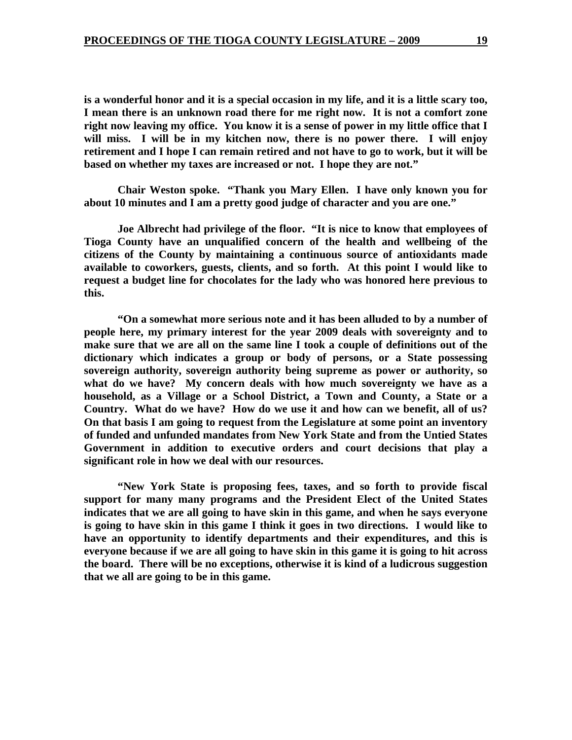**is a wonderful honor and it is a special occasion in my life, and it is a little scary too, I mean there is an unknown road there for me right now. It is not a comfort zone right now leaving my office. You know it is a sense of power in my little office that I will miss. I will be in my kitchen now, there is no power there. I will enjoy retirement and I hope I can remain retired and not have to go to work, but it will be based on whether my taxes are increased or not. I hope they are not."** 

 **Chair Weston spoke. "Thank you Mary Ellen. I have only known you for about 10 minutes and I am a pretty good judge of character and you are one."** 

 **Joe Albrecht had privilege of the floor. "It is nice to know that employees of Tioga County have an unqualified concern of the health and wellbeing of the citizens of the County by maintaining a continuous source of antioxidants made available to coworkers, guests, clients, and so forth. At this point I would like to request a budget line for chocolates for the lady who was honored here previous to this.** 

 **"On a somewhat more serious note and it has been alluded to by a number of people here, my primary interest for the year 2009 deals with sovereignty and to make sure that we are all on the same line I took a couple of definitions out of the dictionary which indicates a group or body of persons, or a State possessing sovereign authority, sovereign authority being supreme as power or authority, so what do we have? My concern deals with how much sovereignty we have as a household, as a Village or a School District, a Town and County, a State or a Country. What do we have? How do we use it and how can we benefit, all of us? On that basis I am going to request from the Legislature at some point an inventory of funded and unfunded mandates from New York State and from the Untied States Government in addition to executive orders and court decisions that play a significant role in how we deal with our resources.** 

 **"New York State is proposing fees, taxes, and so forth to provide fiscal support for many many programs and the President Elect of the United States indicates that we are all going to have skin in this game, and when he says everyone is going to have skin in this game I think it goes in two directions. I would like to have an opportunity to identify departments and their expenditures, and this is everyone because if we are all going to have skin in this game it is going to hit across the board. There will be no exceptions, otherwise it is kind of a ludicrous suggestion that we all are going to be in this game.**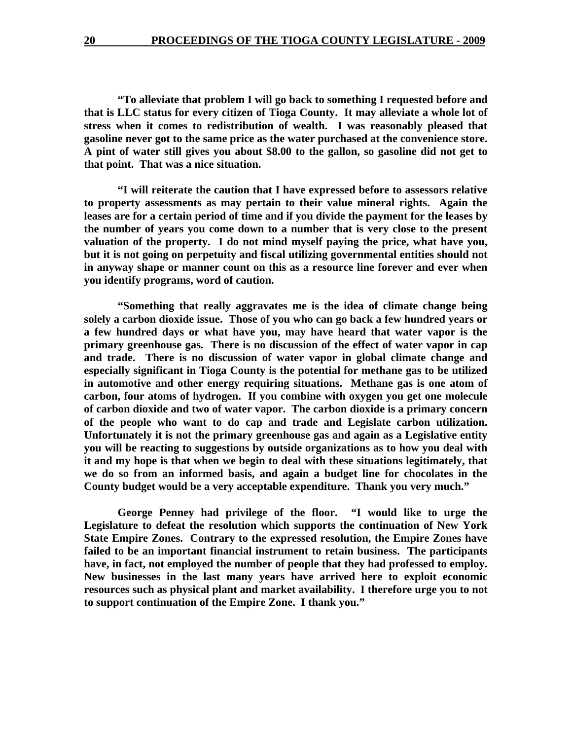**"To alleviate that problem I will go back to something I requested before and that is LLC status for every citizen of Tioga County. It may alleviate a whole lot of stress when it comes to redistribution of wealth. I was reasonably pleased that gasoline never got to the same price as the water purchased at the convenience store. A pint of water still gives you about \$8.00 to the gallon, so gasoline did not get to that point. That was a nice situation.** 

 **"I will reiterate the caution that I have expressed before to assessors relative to property assessments as may pertain to their value mineral rights. Again the leases are for a certain period of time and if you divide the payment for the leases by the number of years you come down to a number that is very close to the present valuation of the property. I do not mind myself paying the price, what have you, but it is not going on perpetuity and fiscal utilizing governmental entities should not in anyway shape or manner count on this as a resource line forever and ever when you identify programs, word of caution.** 

 **"Something that really aggravates me is the idea of climate change being solely a carbon dioxide issue. Those of you who can go back a few hundred years or a few hundred days or what have you, may have heard that water vapor is the primary greenhouse gas. There is no discussion of the effect of water vapor in cap and trade. There is no discussion of water vapor in global climate change and especially significant in Tioga County is the potential for methane gas to be utilized in automotive and other energy requiring situations. Methane gas is one atom of carbon, four atoms of hydrogen. If you combine with oxygen you get one molecule of carbon dioxide and two of water vapor. The carbon dioxide is a primary concern of the people who want to do cap and trade and Legislate carbon utilization. Unfortunately it is not the primary greenhouse gas and again as a Legislative entity you will be reacting to suggestions by outside organizations as to how you deal with it and my hope is that when we begin to deal with these situations legitimately, that we do so from an informed basis, and again a budget line for chocolates in the County budget would be a very acceptable expenditure. Thank you very much."** 

 **George Penney had privilege of the floor. "I would like to urge the Legislature to defeat the resolution which supports the continuation of New York State Empire Zones. Contrary to the expressed resolution, the Empire Zones have failed to be an important financial instrument to retain business. The participants have, in fact, not employed the number of people that they had professed to employ. New businesses in the last many years have arrived here to exploit economic resources such as physical plant and market availability. I therefore urge you to not to support continuation of the Empire Zone. I thank you."**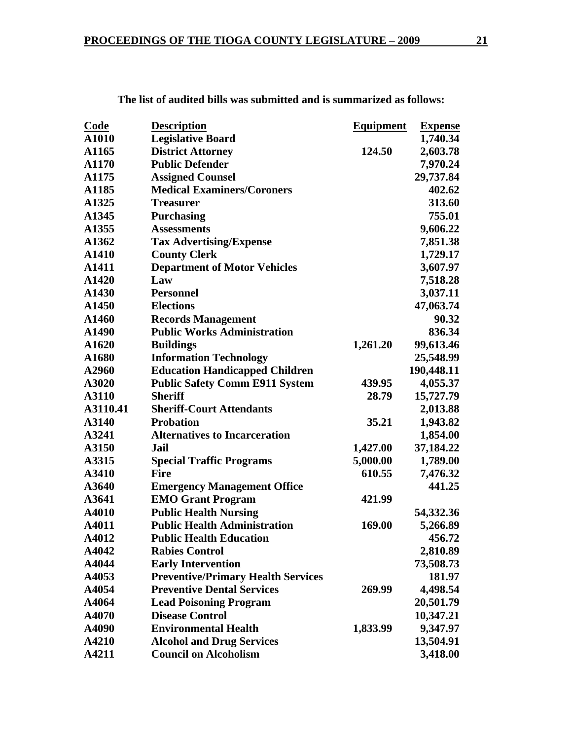| A1010<br><b>Legislative Board</b><br>1,740.34<br><b>District Attorney</b><br>2,603.78<br>A1165<br>124.50<br><b>Public Defender</b><br>7,970.24<br>A1170<br>29,737.84<br>A1175<br><b>Assigned Counsel</b><br><b>Medical Examiners/Coroners</b><br>A1185<br>402.62<br>313.60<br>A1325<br><b>Treasurer</b><br>755.01<br><b>Purchasing</b><br>A1345<br>A1355<br>9,606.22<br><b>Assessments</b><br><b>Tax Advertising/Expense</b><br>7,851.38<br>A1362<br><b>County Clerk</b><br>1,729.17<br>A1410<br><b>Department of Motor Vehicles</b><br>3,607.97<br>A1411<br>A1420<br>Law<br>7,518.28<br>3,037.11<br>A1430<br><b>Personnel</b><br>A1450<br><b>Elections</b><br>47,063.74<br>A1460<br><b>Records Management</b><br>90.32<br><b>Public Works Administration</b><br>836.34<br>A1490<br><b>Buildings</b><br>99,613.46<br>A1620<br>1,261.20<br>A1680<br><b>Information Technology</b><br>25,548.99<br><b>Education Handicapped Children</b><br>190,448.11<br>A2960<br><b>Public Safety Comm E911 System</b><br>439.95<br>4,055.37<br>A3020<br>A3110<br><b>Sheriff</b><br>15,727.79<br>28.79 |
|----------------------------------------------------------------------------------------------------------------------------------------------------------------------------------------------------------------------------------------------------------------------------------------------------------------------------------------------------------------------------------------------------------------------------------------------------------------------------------------------------------------------------------------------------------------------------------------------------------------------------------------------------------------------------------------------------------------------------------------------------------------------------------------------------------------------------------------------------------------------------------------------------------------------------------------------------------------------------------------------------------------------------------------------------------------------------------------|
|                                                                                                                                                                                                                                                                                                                                                                                                                                                                                                                                                                                                                                                                                                                                                                                                                                                                                                                                                                                                                                                                                        |
|                                                                                                                                                                                                                                                                                                                                                                                                                                                                                                                                                                                                                                                                                                                                                                                                                                                                                                                                                                                                                                                                                        |
|                                                                                                                                                                                                                                                                                                                                                                                                                                                                                                                                                                                                                                                                                                                                                                                                                                                                                                                                                                                                                                                                                        |
|                                                                                                                                                                                                                                                                                                                                                                                                                                                                                                                                                                                                                                                                                                                                                                                                                                                                                                                                                                                                                                                                                        |
|                                                                                                                                                                                                                                                                                                                                                                                                                                                                                                                                                                                                                                                                                                                                                                                                                                                                                                                                                                                                                                                                                        |
|                                                                                                                                                                                                                                                                                                                                                                                                                                                                                                                                                                                                                                                                                                                                                                                                                                                                                                                                                                                                                                                                                        |
|                                                                                                                                                                                                                                                                                                                                                                                                                                                                                                                                                                                                                                                                                                                                                                                                                                                                                                                                                                                                                                                                                        |
|                                                                                                                                                                                                                                                                                                                                                                                                                                                                                                                                                                                                                                                                                                                                                                                                                                                                                                                                                                                                                                                                                        |
|                                                                                                                                                                                                                                                                                                                                                                                                                                                                                                                                                                                                                                                                                                                                                                                                                                                                                                                                                                                                                                                                                        |
|                                                                                                                                                                                                                                                                                                                                                                                                                                                                                                                                                                                                                                                                                                                                                                                                                                                                                                                                                                                                                                                                                        |
|                                                                                                                                                                                                                                                                                                                                                                                                                                                                                                                                                                                                                                                                                                                                                                                                                                                                                                                                                                                                                                                                                        |
|                                                                                                                                                                                                                                                                                                                                                                                                                                                                                                                                                                                                                                                                                                                                                                                                                                                                                                                                                                                                                                                                                        |
|                                                                                                                                                                                                                                                                                                                                                                                                                                                                                                                                                                                                                                                                                                                                                                                                                                                                                                                                                                                                                                                                                        |
|                                                                                                                                                                                                                                                                                                                                                                                                                                                                                                                                                                                                                                                                                                                                                                                                                                                                                                                                                                                                                                                                                        |
|                                                                                                                                                                                                                                                                                                                                                                                                                                                                                                                                                                                                                                                                                                                                                                                                                                                                                                                                                                                                                                                                                        |
|                                                                                                                                                                                                                                                                                                                                                                                                                                                                                                                                                                                                                                                                                                                                                                                                                                                                                                                                                                                                                                                                                        |
|                                                                                                                                                                                                                                                                                                                                                                                                                                                                                                                                                                                                                                                                                                                                                                                                                                                                                                                                                                                                                                                                                        |
|                                                                                                                                                                                                                                                                                                                                                                                                                                                                                                                                                                                                                                                                                                                                                                                                                                                                                                                                                                                                                                                                                        |
|                                                                                                                                                                                                                                                                                                                                                                                                                                                                                                                                                                                                                                                                                                                                                                                                                                                                                                                                                                                                                                                                                        |
|                                                                                                                                                                                                                                                                                                                                                                                                                                                                                                                                                                                                                                                                                                                                                                                                                                                                                                                                                                                                                                                                                        |
|                                                                                                                                                                                                                                                                                                                                                                                                                                                                                                                                                                                                                                                                                                                                                                                                                                                                                                                                                                                                                                                                                        |
| <b>Sheriff-Court Attendants</b><br>A3110.41<br>2,013.88                                                                                                                                                                                                                                                                                                                                                                                                                                                                                                                                                                                                                                                                                                                                                                                                                                                                                                                                                                                                                                |
| <b>Probation</b><br>35.21<br>1,943.82<br>A3140                                                                                                                                                                                                                                                                                                                                                                                                                                                                                                                                                                                                                                                                                                                                                                                                                                                                                                                                                                                                                                         |
| <b>Alternatives to Incarceration</b><br>1,854.00<br>A3241                                                                                                                                                                                                                                                                                                                                                                                                                                                                                                                                                                                                                                                                                                                                                                                                                                                                                                                                                                                                                              |
| A3150<br>37,184.22<br>Jail<br>1,427.00                                                                                                                                                                                                                                                                                                                                                                                                                                                                                                                                                                                                                                                                                                                                                                                                                                                                                                                                                                                                                                                 |
| 5,000.00<br>1,789.00<br>A3315<br><b>Special Traffic Programs</b>                                                                                                                                                                                                                                                                                                                                                                                                                                                                                                                                                                                                                                                                                                                                                                                                                                                                                                                                                                                                                       |
| 610.55<br>A3410<br><b>Fire</b><br>7,476.32                                                                                                                                                                                                                                                                                                                                                                                                                                                                                                                                                                                                                                                                                                                                                                                                                                                                                                                                                                                                                                             |
| A3640<br><b>Emergency Management Office</b><br>441.25                                                                                                                                                                                                                                                                                                                                                                                                                                                                                                                                                                                                                                                                                                                                                                                                                                                                                                                                                                                                                                  |
| <b>EMO Grant Program</b><br>A3641<br>421.99                                                                                                                                                                                                                                                                                                                                                                                                                                                                                                                                                                                                                                                                                                                                                                                                                                                                                                                                                                                                                                            |
| <b>Public Health Nursing</b><br>A4010<br>54,332.36                                                                                                                                                                                                                                                                                                                                                                                                                                                                                                                                                                                                                                                                                                                                                                                                                                                                                                                                                                                                                                     |
| <b>Public Health Administration</b><br>A4011<br>169.00<br>5,266.89                                                                                                                                                                                                                                                                                                                                                                                                                                                                                                                                                                                                                                                                                                                                                                                                                                                                                                                                                                                                                     |
| A4012<br><b>Public Health Education</b><br>456.72                                                                                                                                                                                                                                                                                                                                                                                                                                                                                                                                                                                                                                                                                                                                                                                                                                                                                                                                                                                                                                      |
| A4042<br><b>Rabies Control</b><br>2,810.89                                                                                                                                                                                                                                                                                                                                                                                                                                                                                                                                                                                                                                                                                                                                                                                                                                                                                                                                                                                                                                             |
| A4044<br><b>Early Intervention</b><br>73,508.73                                                                                                                                                                                                                                                                                                                                                                                                                                                                                                                                                                                                                                                                                                                                                                                                                                                                                                                                                                                                                                        |
| A4053<br><b>Preventive/Primary Health Services</b><br>181.97                                                                                                                                                                                                                                                                                                                                                                                                                                                                                                                                                                                                                                                                                                                                                                                                                                                                                                                                                                                                                           |
| <b>Preventive Dental Services</b><br>4,498.54<br>A4054<br>269.99                                                                                                                                                                                                                                                                                                                                                                                                                                                                                                                                                                                                                                                                                                                                                                                                                                                                                                                                                                                                                       |
| A4064<br><b>Lead Poisoning Program</b><br>20,501.79                                                                                                                                                                                                                                                                                                                                                                                                                                                                                                                                                                                                                                                                                                                                                                                                                                                                                                                                                                                                                                    |
| A4070<br><b>Disease Control</b><br>10,347.21                                                                                                                                                                                                                                                                                                                                                                                                                                                                                                                                                                                                                                                                                                                                                                                                                                                                                                                                                                                                                                           |
| <b>Environmental Health</b><br>1,833.99<br>9,347.97<br>A4090                                                                                                                                                                                                                                                                                                                                                                                                                                                                                                                                                                                                                                                                                                                                                                                                                                                                                                                                                                                                                           |
| 13,504.91<br>A4210<br><b>Alcohol and Drug Services</b>                                                                                                                                                                                                                                                                                                                                                                                                                                                                                                                                                                                                                                                                                                                                                                                                                                                                                                                                                                                                                                 |
| <b>Council on Alcoholism</b><br>3,418.00<br>A4211                                                                                                                                                                                                                                                                                                                                                                                                                                                                                                                                                                                                                                                                                                                                                                                                                                                                                                                                                                                                                                      |

**The list of audited bills was submitted and is summarized as follows:**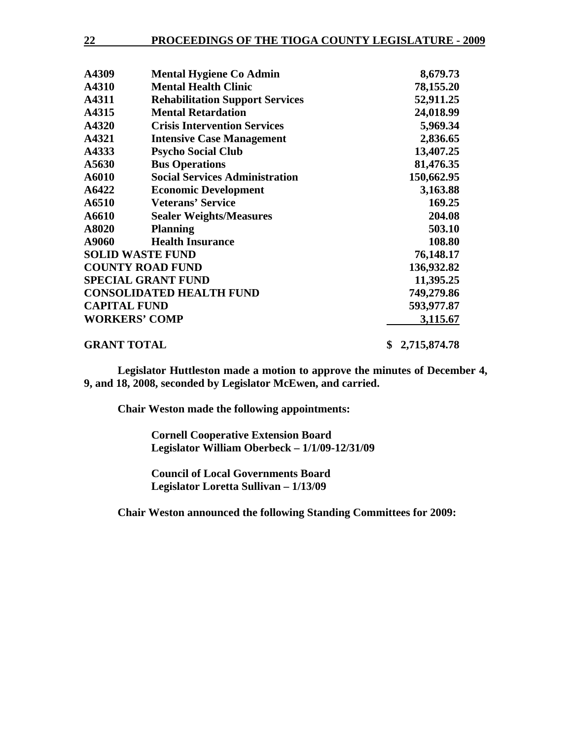| <b>PROCEEDINGS OF THE TIOGA COUNTY LEGISLATURE - 2009</b><br>22 |  |
|-----------------------------------------------------------------|--|
|-----------------------------------------------------------------|--|

| A4309               | <b>Mental Hygiene Co Admin</b>         | 8,679.73          |
|---------------------|----------------------------------------|-------------------|
| A4310               | <b>Mental Health Clinic</b>            | 78,155.20         |
| A4311               | <b>Rehabilitation Support Services</b> | 52,911.25         |
| A4315               | <b>Mental Retardation</b>              | 24,018.99         |
| A4320               | <b>Crisis Intervention Services</b>    | 5,969.34          |
| A4321               | <b>Intensive Case Management</b>       | 2,836.65          |
| A4333               | <b>Psycho Social Club</b>              | 13,407.25         |
| A5630               | <b>Bus Operations</b>                  | 81,476.35         |
| A6010               | <b>Social Services Administration</b>  | 150,662.95        |
| A6422               | <b>Economic Development</b>            | 3,163.88          |
| A6510               | <b>Veterans' Service</b>               | 169.25            |
| A6610               | <b>Sealer Weights/Measures</b>         | 204.08            |
| A8020               | <b>Planning</b>                        | 503.10            |
| A9060               | <b>Health Insurance</b>                | 108.80            |
|                     | <b>SOLID WASTE FUND</b>                | 76,148.17         |
|                     | <b>COUNTY ROAD FUND</b>                | 136,932.82        |
|                     | <b>SPECIAL GRANT FUND</b>              | 11,395.25         |
|                     | <b>CONSOLIDATED HEALTH FUND</b>        | 749,279.86        |
| <b>CAPITAL FUND</b> |                                        | 593,977.87        |
|                     | <b>WORKERS' COMP</b>                   | 3,115.67          |
| <b>GRANT TOTAL</b>  |                                        | 2,715,874.78<br>S |

 **Legislator Huttleston made a motion to approve the minutes of December 4, 9, and 18, 2008, seconded by Legislator McEwen, and carried.** 

 **Chair Weston made the following appointments:** 

 **Cornell Cooperative Extension Board Legislator William Oberbeck – 1/1/09-12/31/09** 

 **Council of Local Governments Board Legislator Loretta Sullivan – 1/13/09** 

 **Chair Weston announced the following Standing Committees for 2009:**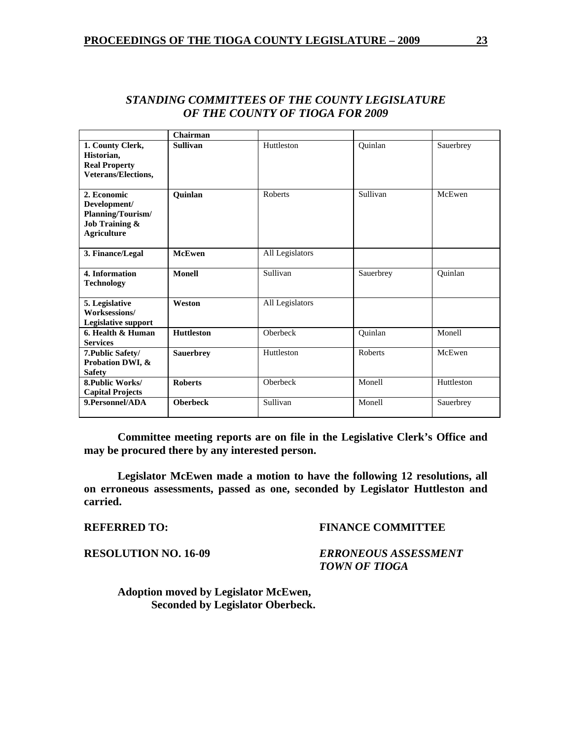|                                                                                                     | Chairman          |                 |           |            |
|-----------------------------------------------------------------------------------------------------|-------------------|-----------------|-----------|------------|
| 1. County Clerk,<br>Historian,<br><b>Real Property</b><br>Veterans/Elections,                       | <b>Sullivan</b>   | Huttleston      | Quinlan   | Sauerbrey  |
| 2. Economic<br>Development/<br>Planning/Tourism/<br><b>Job Training &amp;</b><br><b>Agriculture</b> | Quinlan           | <b>Roberts</b>  | Sullivan  | McEwen     |
| 3. Finance/Legal                                                                                    | <b>McEwen</b>     | All Legislators |           |            |
| 4. Information<br><b>Technology</b>                                                                 | <b>Monell</b>     | Sullivan        | Sauerbrey | Quinlan    |
| 5. Legislative<br>Worksessions/<br><b>Legislative support</b>                                       | Weston            | All Legislators |           |            |
| 6. Health & Human<br><b>Services</b>                                                                | <b>Huttleston</b> | Oberbeck        | Quinlan   | Monell     |
| 7. Public Safety/<br>Probation DWI, &<br><b>Safety</b>                                              | <b>Sauerbrey</b>  | Huttleston      | Roberts   | McEwen     |
| 8. Public Works/<br><b>Capital Projects</b>                                                         | <b>Roberts</b>    | Oberbeck        | Monell    | Huttleston |
| 9. Personnel/ADA                                                                                    | <b>Oberbeck</b>   | Sullivan        | Monell    | Sauerbrey  |

# *STANDING COMMITTEES OF THE COUNTY LEGISLATURE OF THE COUNTY OF TIOGA FOR 2009*

**Committee meeting reports are on file in the Legislative Clerk's Office and may be procured there by any interested person.** 

 **Legislator McEwen made a motion to have the following 12 resolutions, all on erroneous assessments, passed as one, seconded by Legislator Huttleston and carried.** 

**REFERRED TO: FINANCE COMMITTEE** 

**RESOLUTION NO. 16-09** *ERRONEOUS ASSESSMENT TOWN OF TIOGA* 

 **Adoption moved by Legislator McEwen, Seconded by Legislator Oberbeck.**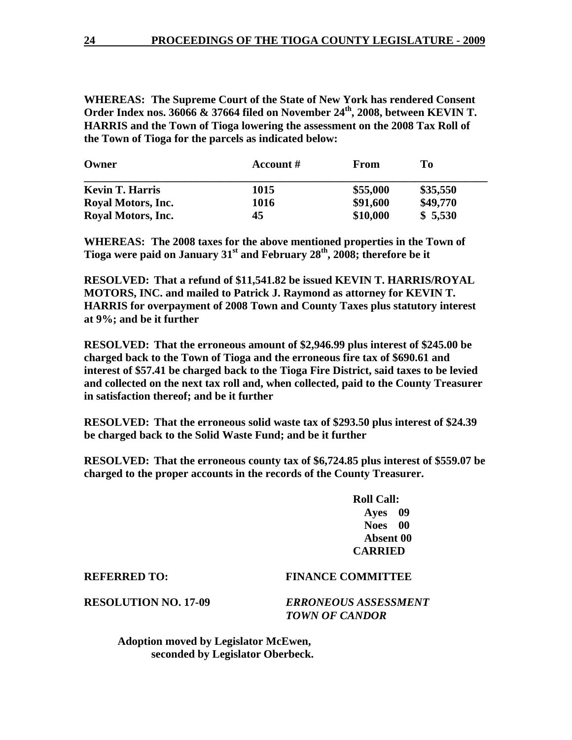**WHEREAS: The Supreme Court of the State of New York has rendered Consent**  Order Index nos. 36066 & 37664 filed on November 24<sup>th</sup>, 2008, between KEVIN T. **HARRIS and the Town of Tioga lowering the assessment on the 2008 Tax Roll of the Town of Tioga for the parcels as indicated below:** 

| Owner                  | Account # | From     | To       |  |
|------------------------|-----------|----------|----------|--|
| <b>Kevin T. Harris</b> | 1015      | \$55,000 | \$35,550 |  |
| Royal Motors, Inc.     | 1016      | \$91,600 | \$49,770 |  |
| Royal Motors, Inc.     | 45        | \$10,000 | \$5,530  |  |

**WHEREAS: The 2008 taxes for the above mentioned properties in the Town of Tioga were paid on January 31<sup>st</sup> and February 28<sup>th</sup>, 2008; therefore be it** 

**RESOLVED: That a refund of \$11,541.82 be issued KEVIN T. HARRIS/ROYAL MOTORS, INC. and mailed to Patrick J. Raymond as attorney for KEVIN T. HARRIS for overpayment of 2008 Town and County Taxes plus statutory interest at 9%; and be it further** 

**RESOLVED: That the erroneous amount of \$2,946.99 plus interest of \$245.00 be charged back to the Town of Tioga and the erroneous fire tax of \$690.61 and interest of \$57.41 be charged back to the Tioga Fire District, said taxes to be levied and collected on the next tax roll and, when collected, paid to the County Treasurer in satisfaction thereof; and be it further** 

**RESOLVED: That the erroneous solid waste tax of \$293.50 plus interest of \$24.39 be charged back to the Solid Waste Fund; and be it further** 

**RESOLVED: That the erroneous county tax of \$6,724.85 plus interest of \$559.07 be charged to the proper accounts in the records of the County Treasurer.** 

> **Roll Call: Ayes 09 Noes 00 Absent 00 CARRIED**

### **REFERRED TO: FINANCE COMMITTEE**

**RESOLUTION NO. 17-09** *ERRONEOUS ASSESSMENT TOWN OF CANDOR* 

 **Adoption moved by Legislator McEwen, seconded by Legislator Oberbeck.**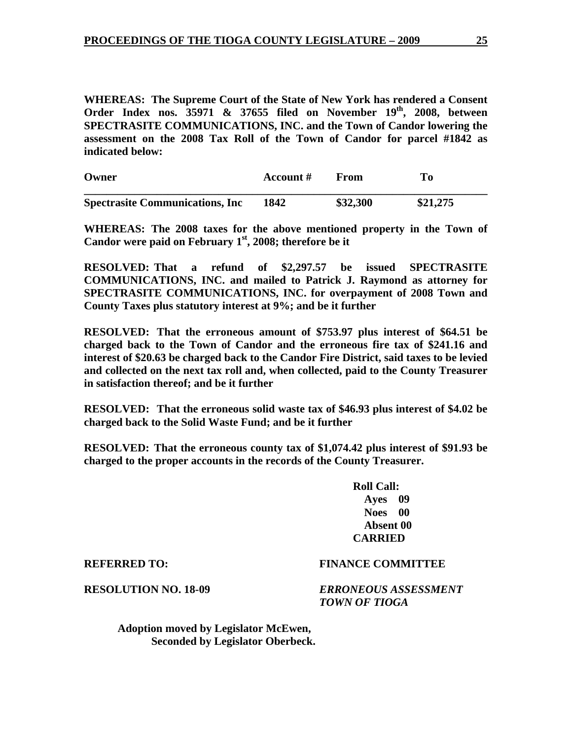**WHEREAS: The Supreme Court of the State of New York has rendered a Consent**  Order Index nos. 35971 & 37655 filed on November 19<sup>th</sup>, 2008, between **SPECTRASITE COMMUNICATIONS, INC. and the Town of Candor lowering the assessment on the 2008 Tax Roll of the Town of Candor for parcel #1842 as indicated below:** 

| Owner                                   | Account # | From     | To       |  |
|-----------------------------------------|-----------|----------|----------|--|
| <b>Spectrasite Communications, Inc.</b> | 1842      | \$32,300 | \$21,275 |  |

**WHEREAS: The 2008 taxes for the above mentioned property in the Town of**  Candor were paid on February 1<sup>st</sup>, 2008; therefore be it

**RESOLVED: That a refund of \$2,297.57 be issued SPECTRASITE COMMUNICATIONS, INC. and mailed to Patrick J. Raymond as attorney for SPECTRASITE COMMUNICATIONS, INC. for overpayment of 2008 Town and County Taxes plus statutory interest at 9%; and be it further** 

**RESOLVED: That the erroneous amount of \$753.97 plus interest of \$64.51 be charged back to the Town of Candor and the erroneous fire tax of \$241.16 and interest of \$20.63 be charged back to the Candor Fire District, said taxes to be levied and collected on the next tax roll and, when collected, paid to the County Treasurer in satisfaction thereof; and be it further** 

**RESOLVED: That the erroneous solid waste tax of \$46.93 plus interest of \$4.02 be charged back to the Solid Waste Fund; and be it further** 

**RESOLVED: That the erroneous county tax of \$1,074.42 plus interest of \$91.93 be charged to the proper accounts in the records of the County Treasurer.** 

> **Roll Call: Ayes 09 Noes 00 Absent 00 CARRIED**

### **REFERRED TO: FINANCE COMMITTEE**

**RESOLUTION NO. 18-09** *ERRONEOUS ASSESSMENT TOWN OF TIOGA* 

 **Adoption moved by Legislator McEwen, Seconded by Legislator Oberbeck.**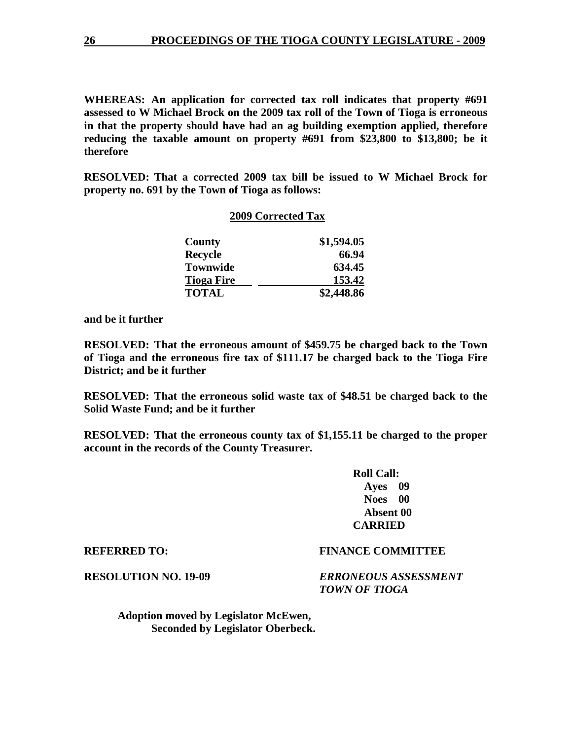**WHEREAS: An application for corrected tax roll indicates that property #691 assessed to W Michael Brock on the 2009 tax roll of the Town of Tioga is erroneous in that the property should have had an ag building exemption applied, therefore reducing the taxable amount on property #691 from \$23,800 to \$13,800; be it therefore** 

**RESOLVED: That a corrected 2009 tax bill be issued to W Michael Brock for property no. 691 by the Town of Tioga as follows:** 

### **2009 Corrected Tax**

| County            | \$1,594.05 |
|-------------------|------------|
| <b>Recycle</b>    | 66.94      |
| <b>Townwide</b>   | 634.45     |
| <b>Tioga Fire</b> | 153.42     |
| <b>TOTAL</b>      | \$2,448.86 |

**and be it further** 

**RESOLVED: That the erroneous amount of \$459.75 be charged back to the Town of Tioga and the erroneous fire tax of \$111.17 be charged back to the Tioga Fire District; and be it further** 

**RESOLVED: That the erroneous solid waste tax of \$48.51 be charged back to the Solid Waste Fund; and be it further** 

**RESOLVED: That the erroneous county tax of \$1,155.11 be charged to the proper account in the records of the County Treasurer.** 

> **Roll Call: Ayes 09 Noes 00 Absent 00 CARRIED**

**RESOLUTION NO. 19-09** *ERRONEOUS ASSESSMENT TOWN OF TIOGA* 

 **Adoption moved by Legislator McEwen, Seconded by Legislator Oberbeck.** 

# **REFERRED TO: FINANCE COMMITTEE**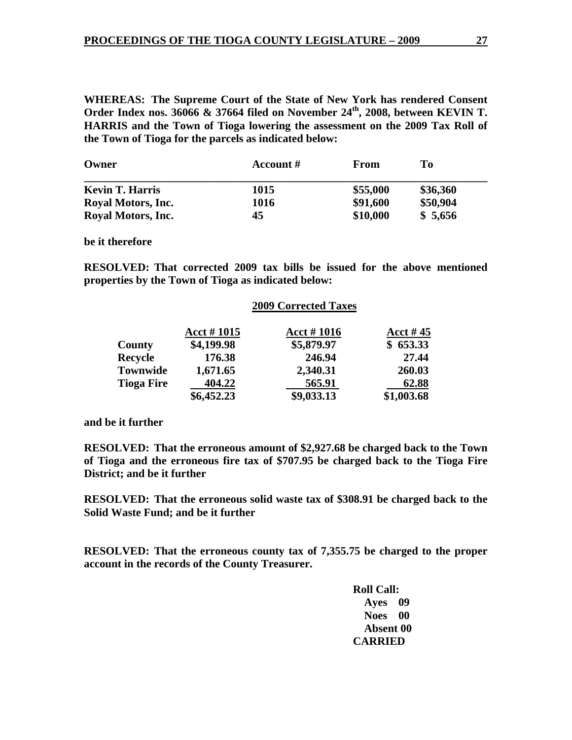**WHEREAS: The Supreme Court of the State of New York has rendered Consent Order Index nos. 36066 & 37664 filed on November 24th, 2008, between KEVIN T. HARRIS and the Town of Tioga lowering the assessment on the 2009 Tax Roll of the Town of Tioga for the parcels as indicated below:** 

| Owner                  | Account # | From     | Tо       |
|------------------------|-----------|----------|----------|
| <b>Kevin T. Harris</b> | 1015      | \$55,000 | \$36,360 |
| Royal Motors, Inc.     | 1016      | \$91,600 | \$50,904 |
| Royal Motors, Inc.     | 45        | \$10,000 | \$5,656  |

**be it therefore** 

**RESOLVED: That corrected 2009 tax bills be issued for the above mentioned properties by the Town of Tioga as indicated below:** 

|                   | <b>2009 Corrected Taxes</b> |               |            |
|-------------------|-----------------------------|---------------|------------|
|                   | Acct $#1015$                | Acct # $1016$ | Acct #45   |
| County            | \$4,199.98                  | \$5,879.97    | \$653.33   |
| <b>Recycle</b>    | 176.38                      | 246.94        | 27.44      |
| <b>Townwide</b>   | 1,671.65                    | 2,340.31      | 260.03     |
| <b>Tioga Fire</b> | 404.22                      | 565.91        | 62.88      |
|                   | \$6,452.23                  | \$9,033.13    | \$1,003.68 |

### **and be it further**

**RESOLVED: That the erroneous amount of \$2,927.68 be charged back to the Town of Tioga and the erroneous fire tax of \$707.95 be charged back to the Tioga Fire District; and be it further** 

**RESOLVED: That the erroneous solid waste tax of \$308.91 be charged back to the Solid Waste Fund; and be it further** 

**RESOLVED: That the erroneous county tax of 7,355.75 be charged to the proper account in the records of the County Treasurer.**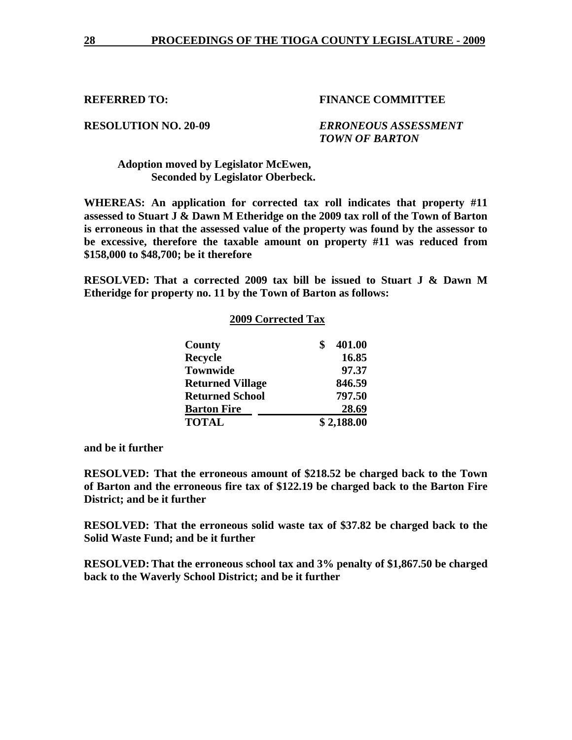**RESOLUTION NO. 20-09** *ERRONEOUS ASSESSMENT TOWN OF BARTON* 

## **Adoption moved by Legislator McEwen, Seconded by Legislator Oberbeck.**

**WHEREAS: An application for corrected tax roll indicates that property #11 assessed to Stuart J & Dawn M Etheridge on the 2009 tax roll of the Town of Barton is erroneous in that the assessed value of the property was found by the assessor to be excessive, therefore the taxable amount on property #11 was reduced from \$158,000 to \$48,700; be it therefore** 

**RESOLVED: That a corrected 2009 tax bill be issued to Stuart J & Dawn M Etheridge for property no. 11 by the Town of Barton as follows:** 

|                         | <b>2009 Corrected Tax</b> |            |  |
|-------------------------|---------------------------|------------|--|
| County                  | \$                        | 401.00     |  |
| <b>Recycle</b>          |                           | 16.85      |  |
| <b>Townwide</b>         |                           | 97.37      |  |
| <b>Returned Village</b> |                           | 846.59     |  |
| <b>Returned School</b>  |                           | 797.50     |  |
| <b>Barton Fire</b>      |                           | 28.69      |  |
| <b>TOTAL</b>            |                           | \$2,188.00 |  |

**and be it further** 

**RESOLVED: That the erroneous amount of \$218.52 be charged back to the Town of Barton and the erroneous fire tax of \$122.19 be charged back to the Barton Fire District; and be it further** 

**RESOLVED: That the erroneous solid waste tax of \$37.82 be charged back to the Solid Waste Fund; and be it further** 

**RESOLVED: That the erroneous school tax and 3% penalty of \$1,867.50 be charged back to the Waverly School District; and be it further**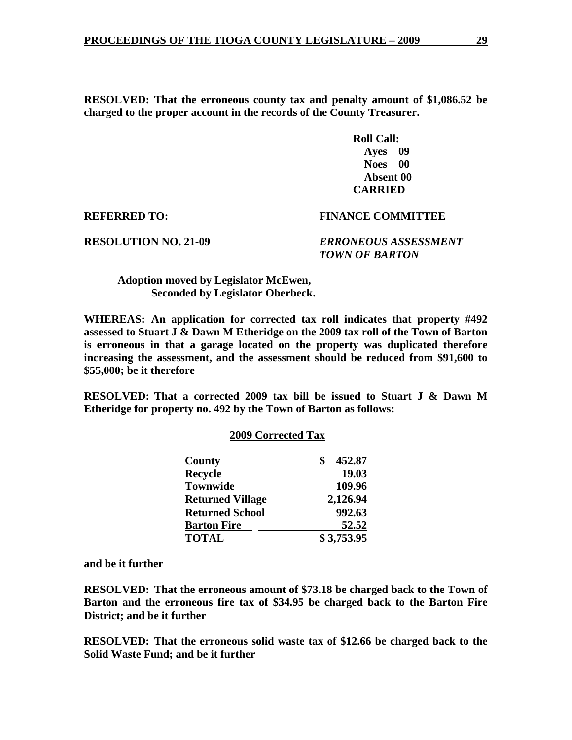**RESOLVED: That the erroneous county tax and penalty amount of \$1,086.52 be charged to the proper account in the records of the County Treasurer.** 

> **Roll Call: Ayes 09 Noes 00 Absent 00 CARRIED**

**REFERRED TO: FINANCE COMMITTEE** 

**RESOLUTION NO. 21-09** *ERRONEOUS ASSESSMENT TOWN OF BARTON* 

 **Adoption moved by Legislator McEwen, Seconded by Legislator Oberbeck.** 

**WHEREAS: An application for corrected tax roll indicates that property #492 assessed to Stuart J & Dawn M Etheridge on the 2009 tax roll of the Town of Barton is erroneous in that a garage located on the property was duplicated therefore increasing the assessment, and the assessment should be reduced from \$91,600 to \$55,000; be it therefore** 

**RESOLVED: That a corrected 2009 tax bill be issued to Stuart J & Dawn M Etheridge for property no. 492 by the Town of Barton as follows:** 

| 2009 COFFECIEU TAX      |            |
|-------------------------|------------|
| <b>County</b>           | 452.87     |
| <b>Recycle</b>          | 19.03      |
| <b>Townwide</b>         | 109.96     |
| <b>Returned Village</b> | 2,126.94   |
| <b>Returned School</b>  | 992.63     |
| <b>Barton Fire</b>      | 52.52      |
| <b>TOTAL</b>            | \$3,753.95 |

 **2009 Corrected Tax** 

**and be it further** 

**RESOLVED: That the erroneous amount of \$73.18 be charged back to the Town of Barton and the erroneous fire tax of \$34.95 be charged back to the Barton Fire District; and be it further** 

**RESOLVED: That the erroneous solid waste tax of \$12.66 be charged back to the Solid Waste Fund; and be it further**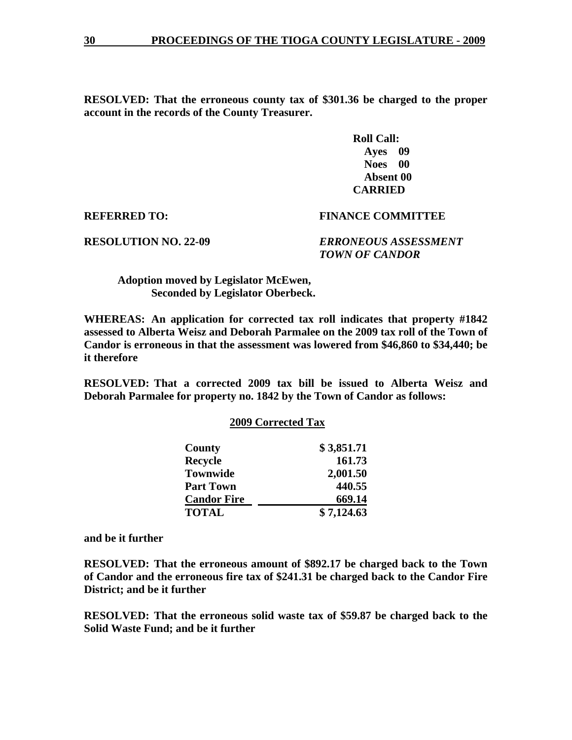**RESOLVED: That the erroneous county tax of \$301.36 be charged to the proper account in the records of the County Treasurer.** 

> **Roll Call: Ayes 09 Noes 00 Absent 00 CARRIED**

**REFERRED TO: FINANCE COMMITTEE** 

**RESOLUTION NO. 22-09** *ERRONEOUS ASSESSMENT TOWN OF CANDOR* 

 **Adoption moved by Legislator McEwen, Seconded by Legislator Oberbeck.** 

**WHEREAS: An application for corrected tax roll indicates that property #1842 assessed to Alberta Weisz and Deborah Parmalee on the 2009 tax roll of the Town of Candor is erroneous in that the assessment was lowered from \$46,860 to \$34,440; be it therefore** 

**RESOLVED: That a corrected 2009 tax bill be issued to Alberta Weisz and Deborah Parmalee for property no. 1842 by the Town of Candor as follows:** 

|  | <b>2009 Corrected Tax</b> |  |
|--|---------------------------|--|
|  |                           |  |

| County             | \$3,851.71 |
|--------------------|------------|
| <b>Recycle</b>     | 161.73     |
| <b>Townwide</b>    | 2,001.50   |
| <b>Part Town</b>   | 440.55     |
| <b>Candor Fire</b> | 669.14     |
| <b>TOTAL</b>       | \$7,124.63 |

**and be it further** 

**RESOLVED: That the erroneous amount of \$892.17 be charged back to the Town of Candor and the erroneous fire tax of \$241.31 be charged back to the Candor Fire District; and be it further** 

**RESOLVED: That the erroneous solid waste tax of \$59.87 be charged back to the Solid Waste Fund; and be it further**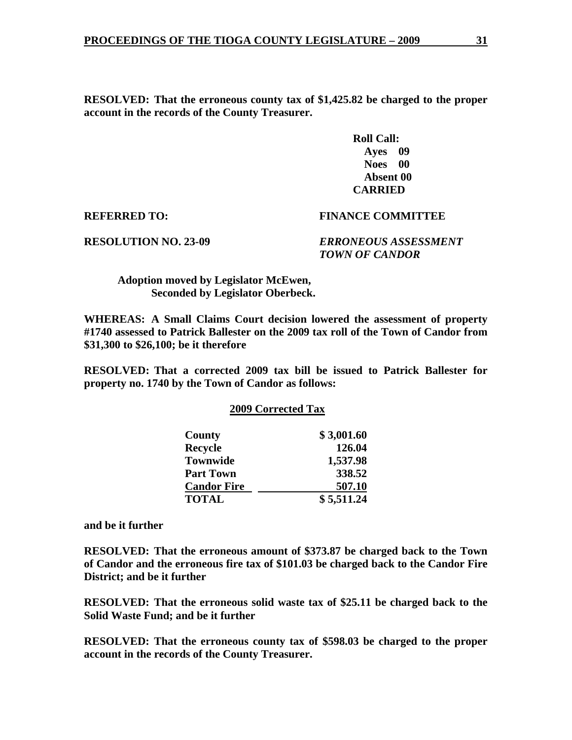**RESOLVED: That the erroneous county tax of \$1,425.82 be charged to the proper account in the records of the County Treasurer.** 

> **Roll Call: Ayes 09 Noes 00 Absent 00 CARRIED**

**REFERRED TO: FINANCE COMMITTEE** 

**RESOLUTION NO. 23-09** *ERRONEOUS ASSESSMENT TOWN OF CANDOR* 

 **Adoption moved by Legislator McEwen, Seconded by Legislator Oberbeck.** 

**WHEREAS: A Small Claims Court decision lowered the assessment of property #1740 assessed to Patrick Ballester on the 2009 tax roll of the Town of Candor from \$31,300 to \$26,100; be it therefore** 

**RESOLVED: That a corrected 2009 tax bill be issued to Patrick Ballester for property no. 1740 by the Town of Candor as follows:** 

### **2009 Corrected Tax**

| County             | \$3,001.60 |
|--------------------|------------|
| <b>Recycle</b>     | 126.04     |
| <b>Townwide</b>    | 1,537.98   |
| <b>Part Town</b>   | 338.52     |
| <b>Candor Fire</b> | 507.10     |
| <b>TOTAL</b>       | \$5,511.24 |

**and be it further** 

**RESOLVED: That the erroneous amount of \$373.87 be charged back to the Town of Candor and the erroneous fire tax of \$101.03 be charged back to the Candor Fire District; and be it further** 

**RESOLVED: That the erroneous solid waste tax of \$25.11 be charged back to the Solid Waste Fund; and be it further** 

**RESOLVED: That the erroneous county tax of \$598.03 be charged to the proper account in the records of the County Treasurer.**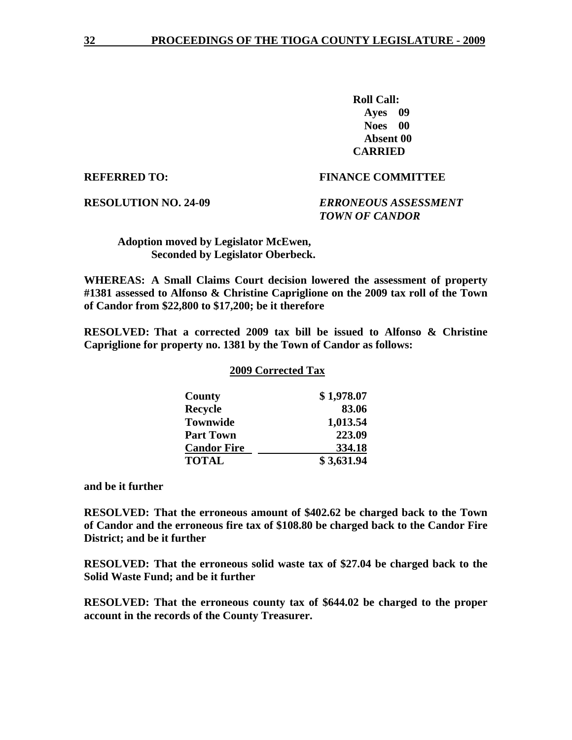**Roll Call: Ayes 09 Noes 00 Absent 00 CARRIED** 

## **REFERRED TO: FINANCE COMMITTEE**

### **RESOLUTION NO. 24-09** *ERRONEOUS ASSESSMENT TOWN OF CANDOR*

 **Adoption moved by Legislator McEwen, Seconded by Legislator Oberbeck.** 

**WHEREAS: A Small Claims Court decision lowered the assessment of property #1381 assessed to Alfonso & Christine Capriglione on the 2009 tax roll of the Town of Candor from \$22,800 to \$17,200; be it therefore** 

**RESOLVED: That a corrected 2009 tax bill be issued to Alfonso & Christine Capriglione for property no. 1381 by the Town of Candor as follows:** 

### **2009 Corrected Tax**

| County             | \$1,978.07 |
|--------------------|------------|
| <b>Recycle</b>     | 83.06      |
| <b>Townwide</b>    | 1,013.54   |
| <b>Part Town</b>   | 223.09     |
| <b>Candor Fire</b> | 334.18     |
| <b>TOTAL</b>       | \$3,631.94 |

**and be it further** 

**RESOLVED: That the erroneous amount of \$402.62 be charged back to the Town of Candor and the erroneous fire tax of \$108.80 be charged back to the Candor Fire District; and be it further** 

**RESOLVED: That the erroneous solid waste tax of \$27.04 be charged back to the Solid Waste Fund; and be it further** 

**RESOLVED: That the erroneous county tax of \$644.02 be charged to the proper account in the records of the County Treasurer.**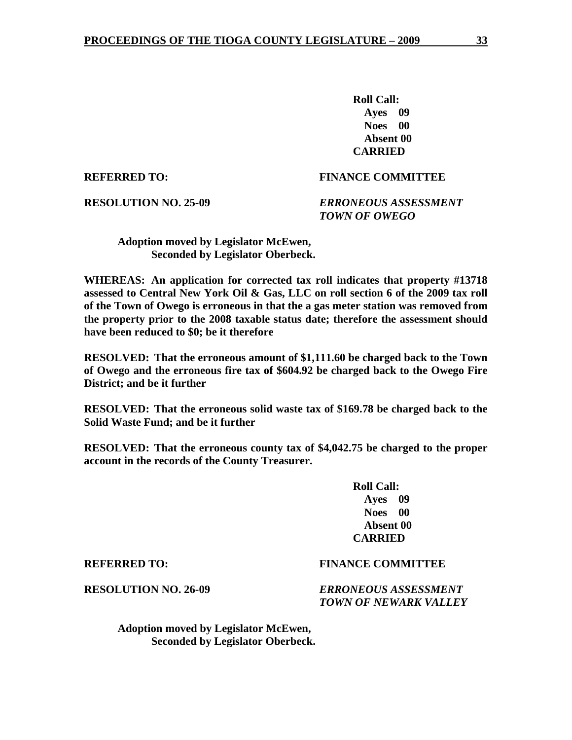**Roll Call: Ayes 09 Noes 00 Absent 00 CARRIED** 

### **REFERRED TO: FINANCE COMMITTEE**

**RESOLUTION NO. 25-09** *ERRONEOUS ASSESSMENT TOWN OF OWEGO* 

 **Adoption moved by Legislator McEwen, Seconded by Legislator Oberbeck.** 

**WHEREAS: An application for corrected tax roll indicates that property #13718 assessed to Central New York Oil & Gas, LLC on roll section 6 of the 2009 tax roll of the Town of Owego is erroneous in that the a gas meter station was removed from the property prior to the 2008 taxable status date; therefore the assessment should have been reduced to \$0; be it therefore** 

**RESOLVED: That the erroneous amount of \$1,111.60 be charged back to the Town of Owego and the erroneous fire tax of \$604.92 be charged back to the Owego Fire District; and be it further** 

**RESOLVED: That the erroneous solid waste tax of \$169.78 be charged back to the Solid Waste Fund; and be it further** 

**RESOLVED: That the erroneous county tax of \$4,042.75 be charged to the proper account in the records of the County Treasurer.** 

> **Roll Call: Ayes 09 Noes 00 Absent 00 CARRIED**

### **REFERRED TO: FINANCE COMMITTEE**

**RESOLUTION NO. 26-09** *ERRONEOUS ASSESSMENT TOWN OF NEWARK VALLEY* 

 **Adoption moved by Legislator McEwen, Seconded by Legislator Oberbeck.**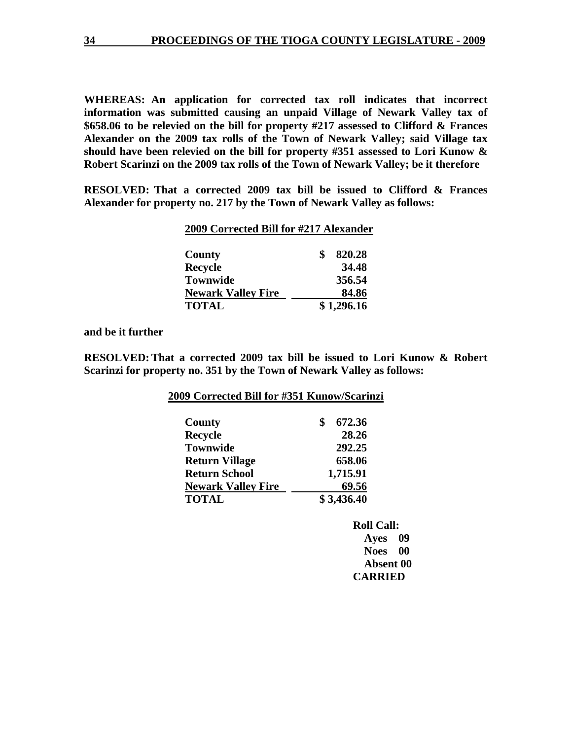**WHEREAS: An application for corrected tax roll indicates that incorrect information was submitted causing an unpaid Village of Newark Valley tax of \$658.06 to be relevied on the bill for property #217 assessed to Clifford & Frances Alexander on the 2009 tax rolls of the Town of Newark Valley; said Village tax should have been relevied on the bill for property #351 assessed to Lori Kunow & Robert Scarinzi on the 2009 tax rolls of the Town of Newark Valley; be it therefore** 

**RESOLVED: That a corrected 2009 tax bill be issued to Clifford & Frances Alexander for property no. 217 by the Town of Newark Valley as follows:** 

### **2009 Corrected Bill for #217 Alexander**

| County                    | 820.28     |
|---------------------------|------------|
| <b>Recycle</b>            | 34.48      |
| <b>Townwide</b>           | 356.54     |
| <b>Newark Valley Fire</b> | 84.86      |
| <b>TOTAL</b>              | \$1,296.16 |

**and be it further** 

**RESOLVED: That a corrected 2009 tax bill be issued to Lori Kunow & Robert Scarinzi for property no. 351 by the Town of Newark Valley as follows:** 

| County                    | \$<br>672.36 |
|---------------------------|--------------|
| <b>Recycle</b>            | 28.26        |
| <b>Townwide</b>           | 292.25       |
| <b>Return Village</b>     | 658.06       |
| <b>Return School</b>      | 1,715.91     |
| <b>Newark Valley Fire</b> | 69.56        |
| <b>TOTAL</b>              | \$3,436.40   |

 **Noes 00 Absent 00 CARRIED**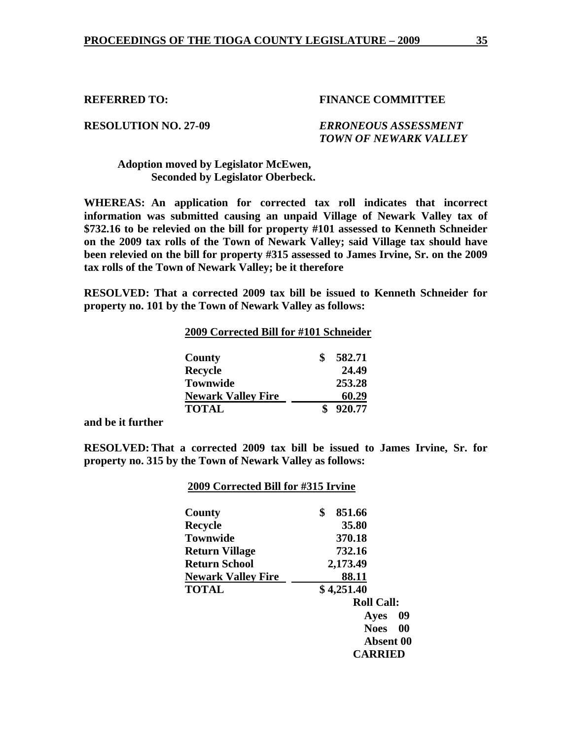## **RESOLUTION NO. 27-09** *ERRONEOUS ASSESSMENT TOWN OF NEWARK VALLEY*

## **Adoption moved by Legislator McEwen, Seconded by Legislator Oberbeck.**

**WHEREAS: An application for corrected tax roll indicates that incorrect information was submitted causing an unpaid Village of Newark Valley tax of \$732.16 to be relevied on the bill for property #101 assessed to Kenneth Schneider on the 2009 tax rolls of the Town of Newark Valley; said Village tax should have been relevied on the bill for property #315 assessed to James Irvine, Sr. on the 2009 tax rolls of the Town of Newark Valley; be it therefore** 

**RESOLVED: That a corrected 2009 tax bill be issued to Kenneth Schneider for property no. 101 by the Town of Newark Valley as follows:** 

| 2009 Corrected Bill for #101 Schneider |        |
|----------------------------------------|--------|
| County                                 | 582.71 |
| <b>Recycle</b>                         | 24.49  |
| <b>Townwide</b>                        | 253.28 |
| <b>Newark Valley Fire</b>              | 60.29  |
| <b>TOTAL</b>                           | 920.77 |

**and be it further** 

**RESOLVED: That a corrected 2009 tax bill be issued to James Irvine, Sr. for property no. 315 by the Town of Newark Valley as follows:** 

### **2009 Corrected Bill for #315 Irvine**

| County                    | \$<br>851.66             |
|---------------------------|--------------------------|
| Recycle                   | 35.80                    |
| <b>Townwide</b>           | 370.18                   |
| <b>Return Village</b>     | 732.16                   |
| <b>Return School</b>      | 2,173.49                 |
| <b>Newark Valley Fire</b> | 88.11                    |
| <b>TOTAL</b>              | \$4,251.40               |
|                           | <b>Roll Call:</b>        |
|                           | 09<br>Ayes               |
|                           | $\bf{00}$<br><b>Noes</b> |
|                           | Absent 00                |
|                           | <b>CARRIED</b>           |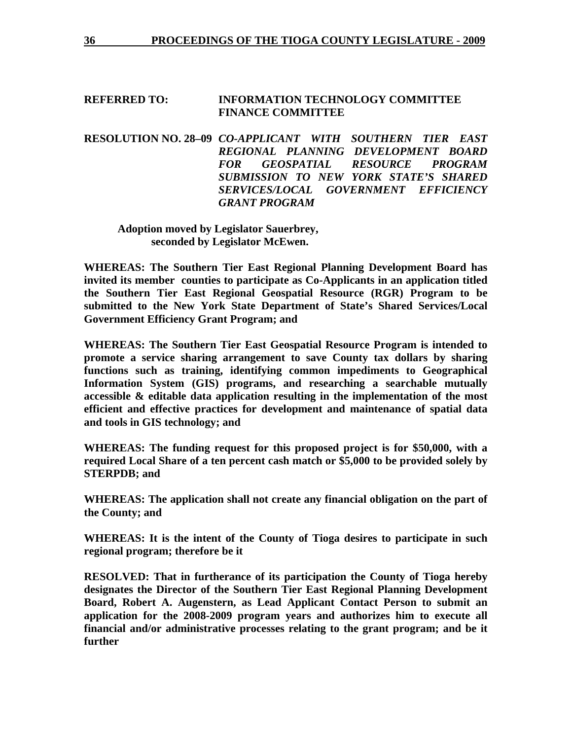### **REFERRED TO: INFORMATION TECHNOLOGY COMMITTEE FINANCE COMMITTEE**

**RESOLUTION NO. 28–09** *CO-APPLICANT WITH SOUTHERN TIER EAST REGIONAL PLANNING DEVELOPMENT BOARD FOR GEOSPATIAL RESOURCE PROGRAM SUBMISSION TO NEW YORK STATE'S SHARED SERVICES/LOCAL GOVERNMENT EFFICIENCY GRANT PROGRAM* 

 **Adoption moved by Legislator Sauerbrey, seconded by Legislator McEwen.** 

**WHEREAS: The Southern Tier East Regional Planning Development Board has invited its member counties to participate as Co-Applicants in an application titled the Southern Tier East Regional Geospatial Resource (RGR) Program to be submitted to the New York State Department of State's Shared Services/Local Government Efficiency Grant Program; and** 

**WHEREAS: The Southern Tier East Geospatial Resource Program is intended to promote a service sharing arrangement to save County tax dollars by sharing functions such as training, identifying common impediments to Geographical Information System (GIS) programs, and researching a searchable mutually accessible & editable data application resulting in the implementation of the most efficient and effective practices for development and maintenance of spatial data and tools in GIS technology; and** 

**WHEREAS: The funding request for this proposed project is for \$50,000, with a required Local Share of a ten percent cash match or \$5,000 to be provided solely by STERPDB; and** 

**WHEREAS: The application shall not create any financial obligation on the part of the County; and** 

**WHEREAS: It is the intent of the County of Tioga desires to participate in such regional program; therefore be it** 

**RESOLVED: That in furtherance of its participation the County of Tioga hereby designates the Director of the Southern Tier East Regional Planning Development Board, Robert A. Augenstern, as Lead Applicant Contact Person to submit an application for the 2008-2009 program years and authorizes him to execute all financial and/or administrative processes relating to the grant program; and be it further**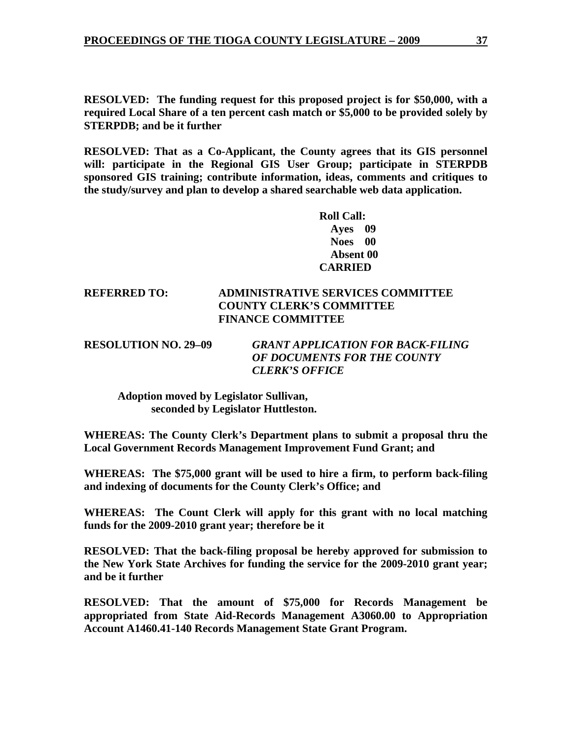**RESOLVED: The funding request for this proposed project is for \$50,000, with a required Local Share of a ten percent cash match or \$5,000 to be provided solely by STERPDB; and be it further** 

**RESOLVED: That as a Co-Applicant, the County agrees that its GIS personnel will: participate in the Regional GIS User Group; participate in STERPDB sponsored GIS training; contribute information, ideas, comments and critiques to the study/survey and plan to develop a shared searchable web data application.** 

> **Roll Call: Ayes 09 Noes 00 Absent 00 CARRIED**

## **REFERRED TO: ADMINISTRATIVE SERVICES COMMITTEE COUNTY CLERK'S COMMITTEE FINANCE COMMITTEE**

**RESOLUTION NO. 29–09** *GRANT APPLICATION FOR BACK-FILING OF DOCUMENTS FOR THE COUNTY CLERK'S OFFICE* 

 **Adoption moved by Legislator Sullivan, seconded by Legislator Huttleston.** 

**WHEREAS: The County Clerk's Department plans to submit a proposal thru the Local Government Records Management Improvement Fund Grant; and** 

**WHEREAS: The \$75,000 grant will be used to hire a firm, to perform back-filing and indexing of documents for the County Clerk's Office; and** 

**WHEREAS: The Count Clerk will apply for this grant with no local matching funds for the 2009-2010 grant year; therefore be it** 

**RESOLVED: That the back-filing proposal be hereby approved for submission to the New York State Archives for funding the service for the 2009-2010 grant year; and be it further** 

**RESOLVED: That the amount of \$75,000 for Records Management be appropriated from State Aid-Records Management A3060.00 to Appropriation Account A1460.41-140 Records Management State Grant Program.**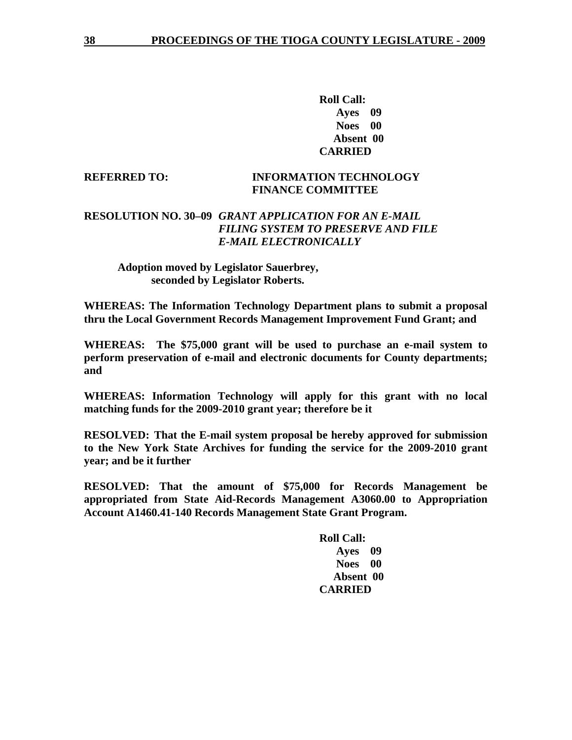**Roll Call: Ayes 09 Noes 00 Absent 00 CARRIED** 

## **REFERRED TO: INFORMATION TECHNOLOGY FINANCE COMMITTEE**

## **RESOLUTION NO. 30–09** *GRANT APPLICATION FOR AN E-MAIL FILING SYSTEM TO PRESERVE AND FILE E-MAIL ELECTRONICALLY*

## **Adoption moved by Legislator Sauerbrey, seconded by Legislator Roberts.**

**WHEREAS: The Information Technology Department plans to submit a proposal thru the Local Government Records Management Improvement Fund Grant; and** 

**WHEREAS: The \$75,000 grant will be used to purchase an e-mail system to perform preservation of e-mail and electronic documents for County departments; and** 

**WHEREAS: Information Technology will apply for this grant with no local matching funds for the 2009-2010 grant year; therefore be it** 

**RESOLVED: That the E-mail system proposal be hereby approved for submission to the New York State Archives for funding the service for the 2009-2010 grant year; and be it further** 

**RESOLVED: That the amount of \$75,000 for Records Management be appropriated from State Aid-Records Management A3060.00 to Appropriation Account A1460.41-140 Records Management State Grant Program.**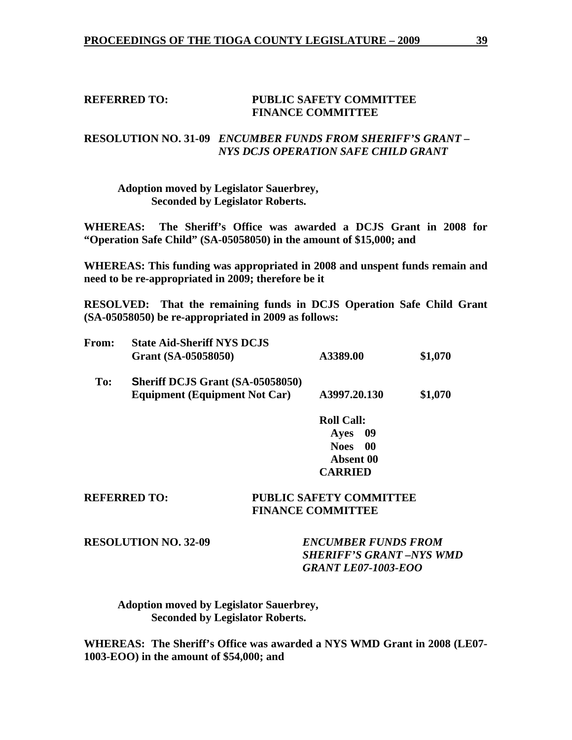### **REFERRED TO: PUBLIC SAFETY COMMITTEE FINANCE COMMITTEE**

## **RESOLUTION NO. 31-09** *ENCUMBER FUNDS FROM SHERIFF'S GRANT – NYS DCJS OPERATION SAFE CHILD GRANT*

 **Adoption moved by Legislator Sauerbrey, Seconded by Legislator Roberts.** 

**WHEREAS: The Sheriff's Office was awarded a DCJS Grant in 2008 for "Operation Safe Child" (SA-05058050) in the amount of \$15,000; and** 

**WHEREAS: This funding was appropriated in 2008 and unspent funds remain and need to be re-appropriated in 2009; therefore be it** 

**RESOLVED: That the remaining funds in DCJS Operation Safe Child Grant (SA-05058050) be re-appropriated in 2009 as follows:** 

| <b>From:</b> | <b>State Aid-Sheriff NYS DCJS</b><br>Grant (SA-05058050)                        | A3389.00                           | \$1,070 |
|--------------|---------------------------------------------------------------------------------|------------------------------------|---------|
| To:          | <b>Sheriff DCJS Grant (SA-05058050)</b><br><b>Equipment (Equipment Not Car)</b> | A3997.20.130                       | \$1,070 |
|              |                                                                                 | $\mathbf{D}$ all $\mathbf{C}$ all. |         |

**Roll Call: Ayes 09 Noes 00 Absent 00 CARRIED** 

### **REFERRED TO: PUBLIC SAFETY COMMITTEE FINANCE COMMITTEE**

**RESOLUTION NO. 32-09** *ENCUMBER FUNDS FROM SHERIFF'S GRANT –NYS WMD GRANT LE07-1003-EOO* 

 **Adoption moved by Legislator Sauerbrey, Seconded by Legislator Roberts.** 

**WHEREAS: The Sheriff's Office was awarded a NYS WMD Grant in 2008 (LE07- 1003-EOO) in the amount of \$54,000; and**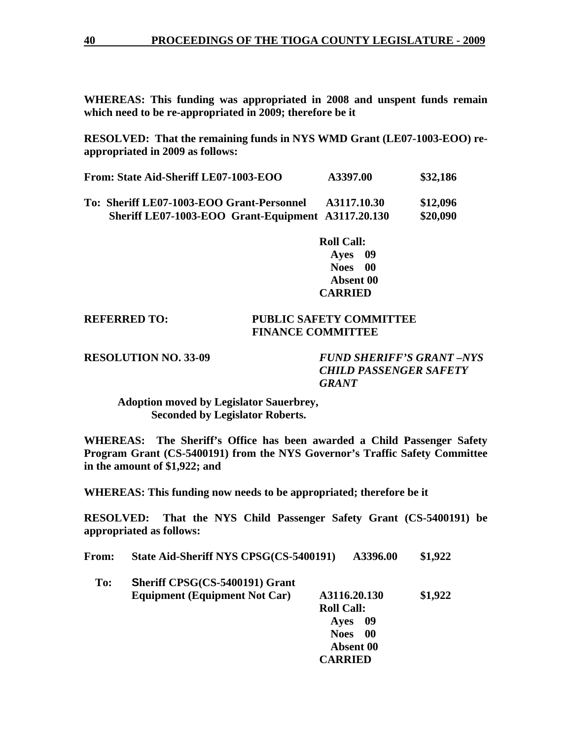**WHEREAS: This funding was appropriated in 2008 and unspent funds remain which need to be re-appropriated in 2009; therefore be it** 

**RESOLVED: That the remaining funds in NYS WMD Grant (LE07-1003-EOO) reappropriated in 2009 as follows:** 

| From: State Aid-Sheriff LE07-1003-EOO                                  | A3397.00 | \$32,186 |
|------------------------------------------------------------------------|----------|----------|
| $\sim$ $\sim$ $\sim$ $\sim$ $\sim$ $\sim$ $\sim$ $\sim$<br>$\sim$<br>- | $\cdots$ |          |

**To: Sheriff LE07-1003-EOO Grant-Personnel A3117.10.30 \$12,096 Sheriff LE07-1003-EOO Grant-Equipment A3117.20.130 \$20,090** 

> **Roll Call: Ayes 09 Noes 00 Absent 00 CARRIED**

## **REFERRED TO: PUBLIC SAFETY COMMITTEE FINANCE COMMITTEE**

**RESOLUTION NO. 33-09** *FUND SHERIFF'S GRANT –NYS CHILD PASSENGER SAFETY GRANT* 

 **Adoption moved by Legislator Sauerbrey, Seconded by Legislator Roberts.** 

**WHEREAS: The Sheriff's Office has been awarded a Child Passenger Safety Program Grant (CS-5400191) from the NYS Governor's Traffic Safety Committee in the amount of \$1,922; and** 

**WHEREAS: This funding now needs to be appropriated; therefore be it** 

**RESOLVED: That the NYS Child Passenger Safety Grant (CS-5400191) be appropriated as follows:** 

| State Aid-Sheriff NYS CPSG(CS-5400191)<br>From: | A3396.00 | \$1,922 |
|-------------------------------------------------|----------|---------|
|-------------------------------------------------|----------|---------|

 **To: Sheriff CPSG(CS-5400191) Grant Equipment (Equipment Not Car) A3116.20.130 \$1,922 Roll Call: Ayes 09 Noes 00 Absent 00 CARRIED**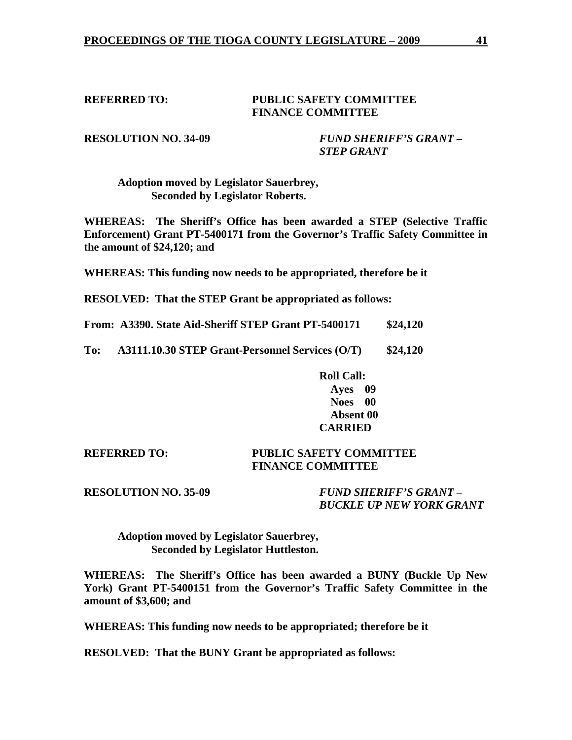### **REFERRED TO: PUBLIC SAFETY COMMITTEE FINANCE COMMITTEE**

**RESOLUTION NO. 34-09** *FUND SHERIFF'S GRANT – STEP GRANT* 

 **Adoption moved by Legislator Sauerbrey, Seconded by Legislator Roberts.** 

**WHEREAS: The Sheriff's Office has been awarded a STEP (Selective Traffic Enforcement) Grant PT-5400171 from the Governor's Traffic Safety Committee in the amount of \$24,120; and** 

**WHEREAS: This funding now needs to be appropriated, therefore be it** 

**RESOLVED: That the STEP Grant be appropriated as follows:** 

**From: A3390. State Aid-Sheriff STEP Grant PT-5400171 \$24,120** 

**To: A3111.10.30 STEP Grant-Personnel Services (O/T) \$24,120** 

 **Roll Call: Ayes 09 Noes 00 Absent 00 CARRIED** 

**REFERRED TO: PUBLIC SAFETY COMMITTEE FINANCE COMMITTEE** 

**RESOLUTION NO. 35-09** *FUND SHERIFF'S GRANT – BUCKLE UP NEW YORK GRANT* 

 **Adoption moved by Legislator Sauerbrey, Seconded by Legislator Huttleston.** 

**WHEREAS: The Sheriff's Office has been awarded a BUNY (Buckle Up New York) Grant PT-5400151 from the Governor's Traffic Safety Committee in the amount of \$3,600; and** 

**WHEREAS: This funding now needs to be appropriated; therefore be it** 

**RESOLVED: That the BUNY Grant be appropriated as follows:**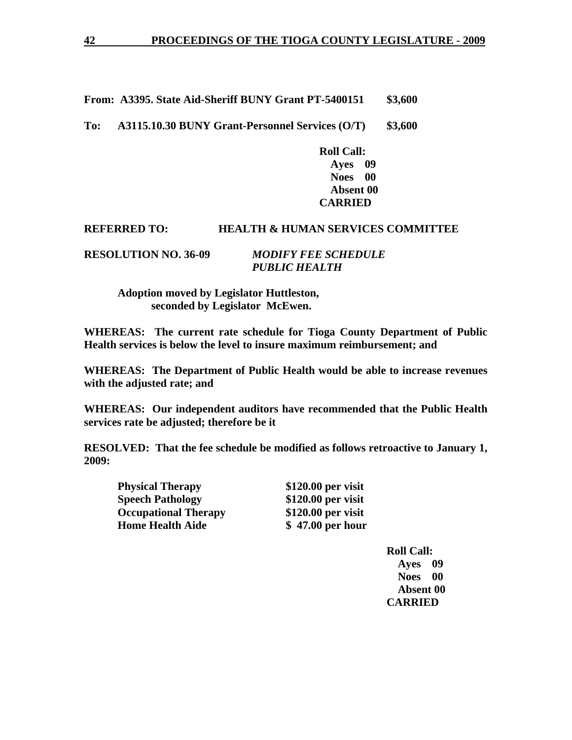**From: A3395. State Aid-Sheriff BUNY Grant PT-5400151 \$3,600** 

**To: A3115.10.30 BUNY Grant-Personnel Services (O/T) \$3,600** 

 **Roll Call: Ayes 09 Noes 00 Absent 00 CARRIED** 

### **REFERRED TO: HEALTH & HUMAN SERVICES COMMITTEE**

**RESOLUTION NO. 36-09** *MODIFY FEE SCHEDULE PUBLIC HEALTH* 

> **Adoption moved by Legislator Huttleston, seconded by Legislator McEwen.**

**WHEREAS: The current rate schedule for Tioga County Department of Public Health services is below the level to insure maximum reimbursement; and** 

**WHEREAS: The Department of Public Health would be able to increase revenues with the adjusted rate; and** 

**WHEREAS: Our independent auditors have recommended that the Public Health services rate be adjusted; therefore be it** 

**RESOLVED: That the fee schedule be modified as follows retroactive to January 1, 2009:** 

**Physical Therapy \$120.00 per visit Speech Pathology** \$120.00 per visit  **Occupational Therapy \$120.00 per visit Home Health Aide 5 47.00 per hour**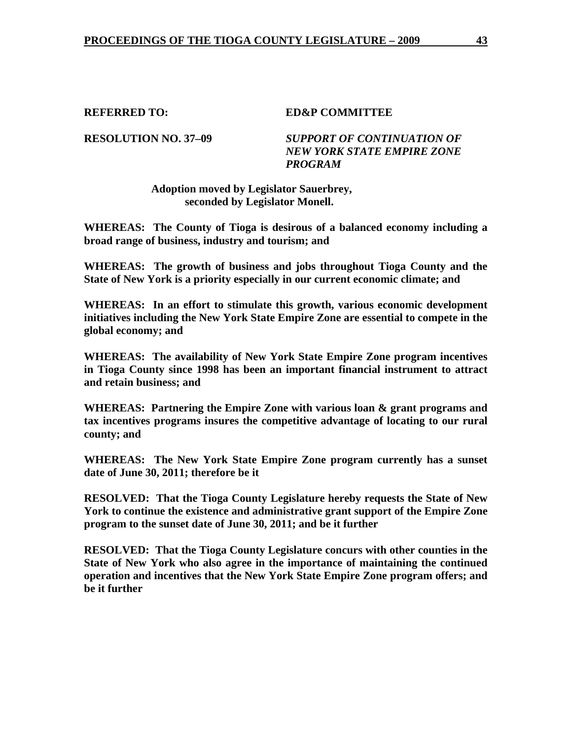### **REFERRED TO: ED&P COMMITTEE**

## **RESOLUTION NO. 37–09** *SUPPORT OF CONTINUATION OF NEW YORK STATE EMPIRE ZONE PROGRAM*

### **Adoption moved by Legislator Sauerbrey, seconded by Legislator Monell.**

**WHEREAS: The County of Tioga is desirous of a balanced economy including a broad range of business, industry and tourism; and** 

**WHEREAS: The growth of business and jobs throughout Tioga County and the State of New York is a priority especially in our current economic climate; and** 

**WHEREAS: In an effort to stimulate this growth, various economic development initiatives including the New York State Empire Zone are essential to compete in the global economy; and** 

**WHEREAS: The availability of New York State Empire Zone program incentives in Tioga County since 1998 has been an important financial instrument to attract and retain business; and** 

**WHEREAS: Partnering the Empire Zone with various loan & grant programs and tax incentives programs insures the competitive advantage of locating to our rural county; and** 

**WHEREAS: The New York State Empire Zone program currently has a sunset date of June 30, 2011; therefore be it** 

**RESOLVED: That the Tioga County Legislature hereby requests the State of New York to continue the existence and administrative grant support of the Empire Zone program to the sunset date of June 30, 2011; and be it further** 

**RESOLVED: That the Tioga County Legislature concurs with other counties in the State of New York who also agree in the importance of maintaining the continued operation and incentives that the New York State Empire Zone program offers; and be it further**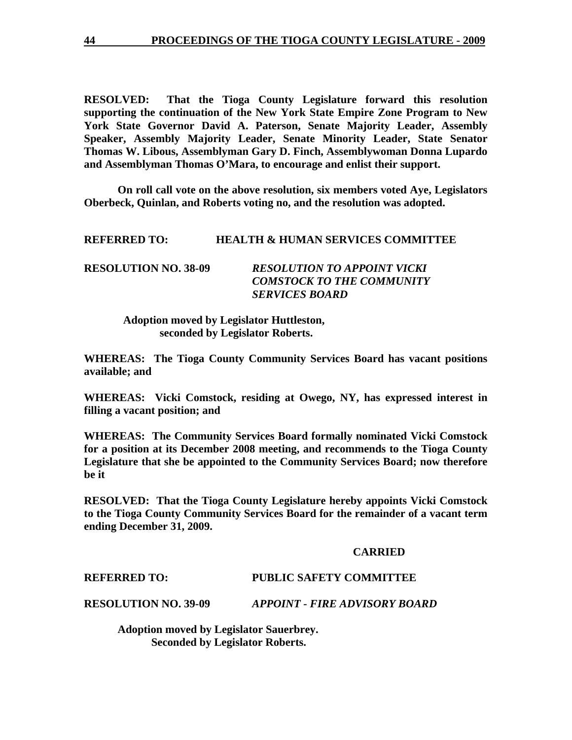**RESOLVED: That the Tioga County Legislature forward this resolution supporting the continuation of the New York State Empire Zone Program to New York State Governor David A. Paterson, Senate Majority Leader, Assembly Speaker, Assembly Majority Leader, Senate Minority Leader, State Senator Thomas W. Libous, Assemblyman Gary D. Finch, Assemblywoman Donna Lupardo and Assemblyman Thomas O'Mara, to encourage and enlist their support.** 

 **On roll call vote on the above resolution, six members voted Aye, Legislators Oberbeck, Quinlan, and Roberts voting no, and the resolution was adopted.** 

### **REFERRED TO: HEALTH & HUMAN SERVICES COMMITTEE**

| <b>RESOLUTION NO. 38-09</b> | <b>RESOLUTION TO APPOINT VICKI</b> |
|-----------------------------|------------------------------------|
|                             | <b>COMSTOCK TO THE COMMUNITY</b>   |
|                             | <b>SERVICES BOARD</b>              |

 **Adoption moved by Legislator Huttleston, seconded by Legislator Roberts.** 

**WHEREAS: The Tioga County Community Services Board has vacant positions available; and** 

**WHEREAS: Vicki Comstock, residing at Owego, NY, has expressed interest in filling a vacant position; and** 

**WHEREAS: The Community Services Board formally nominated Vicki Comstock for a position at its December 2008 meeting, and recommends to the Tioga County Legislature that she be appointed to the Community Services Board; now therefore be it** 

**RESOLVED: That the Tioga County Legislature hereby appoints Vicki Comstock to the Tioga County Community Services Board for the remainder of a vacant term ending December 31, 2009.** 

### **CARRIED**

**REFERRED TO: PUBLIC SAFETY COMMITTEE** 

**RESOLUTION NO. 39-09** *APPOINT - FIRE ADVISORY BOARD*

**Adoption moved by Legislator Sauerbrey. Seconded by Legislator Roberts.**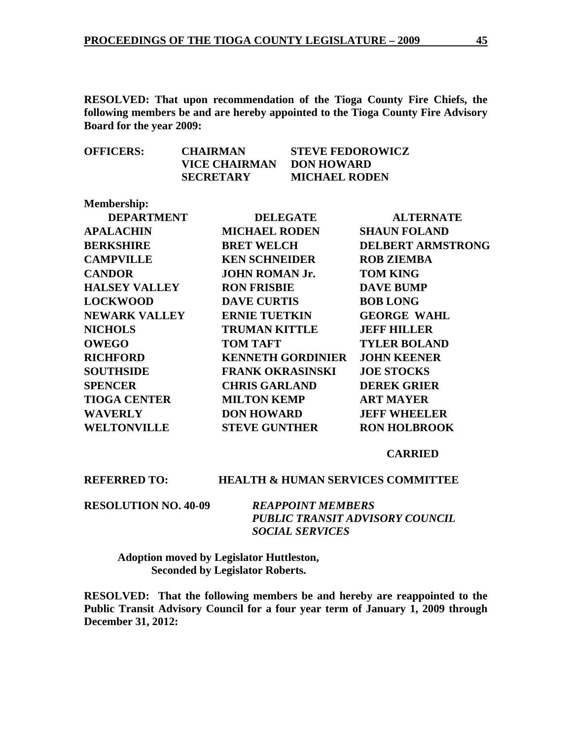**RESOLVED: That upon recommendation of the Tioga County Fire Chiefs, the following members be and are hereby appointed to the Tioga County Fire Advisory Board for the year 2009:** 

| <b>OFFICERS:</b> | <b>CHAIRMAN</b>  | <b>STEVE FEDOROWICZ</b> |
|------------------|------------------|-------------------------|
|                  | VICE CHAIRMAN    | DON HOWARD              |
|                  | <b>SECRETARY</b> | <b>MICHAEL RODEN</b>    |

| <b>Membership:</b>   |                          |                          |
|----------------------|--------------------------|--------------------------|
| <b>DEPARTMENT</b>    | <b>DELEGATE</b>          | <b>ALTERNATE</b>         |
| <b>APALACHIN</b>     | <b>MICHAEL RODEN</b>     | <b>SHAUN FOLAND</b>      |
| <b>BERKSHIRE</b>     | <b>BRET WELCH</b>        | <b>DELBERT ARMSTRONG</b> |
| <b>CAMPVILLE</b>     | <b>KEN SCHNEIDER</b>     | <b>ROB ZIEMBA</b>        |
| <b>CANDOR</b>        | <b>JOHN ROMAN Jr.</b>    | <b>TOM KING</b>          |
| <b>HALSEY VALLEY</b> | <b>RON FRISBIE</b>       | <b>DAVE BUMP</b>         |
| <b>LOCKWOOD</b>      | <b>DAVE CURTIS</b>       | <b>BOB LONG</b>          |
| <b>NEWARK VALLEY</b> | <b>ERNIE TUETKIN</b>     | <b>GEORGE WAHL</b>       |
| <b>NICHOLS</b>       | <b>TRUMAN KITTLE</b>     | <b>JEFF HILLER</b>       |
| <b>OWEGO</b>         | <b>TOM TAFT</b>          | <b>TYLER BOLAND</b>      |
| <b>RICHFORD</b>      | <b>KENNETH GORDINIER</b> | <b>JOHN KEENER</b>       |
| <b>SOUTHSIDE</b>     | <b>FRANK OKRASINSKI</b>  | <b>JOE STOCKS</b>        |
| <b>SPENCER</b>       | <b>CHRIS GARLAND</b>     | <b>DEREK GRIER</b>       |
| <b>TIOGA CENTER</b>  | <b>MILTON KEMP</b>       | <b>ART MAYER</b>         |
| <b>WAVERLY</b>       | <b>DON HOWARD</b>        | <b>JEFF WHEELER</b>      |
| <b>WELTONVILLE</b>   | <b>STEVE GUNTHER</b>     | <b>RON HOLBROOK</b>      |
|                      |                          |                          |

### **CARRIED**

### **REFERRED TO: HEALTH & HUMAN SERVICES COMMITTEE**

**RESOLUTION NO. 40-09** *REAPPOINT MEMBERS* 

 *PUBLIC TRANSIT ADVISORY COUNCIL SOCIAL SERVICES* 

 **Adoption moved by Legislator Huttleston, Seconded by Legislator Roberts.** 

**RESOLVED: That the following members be and hereby are reappointed to the Public Transit Advisory Council for a four year term of January 1, 2009 through December 31, 2012:**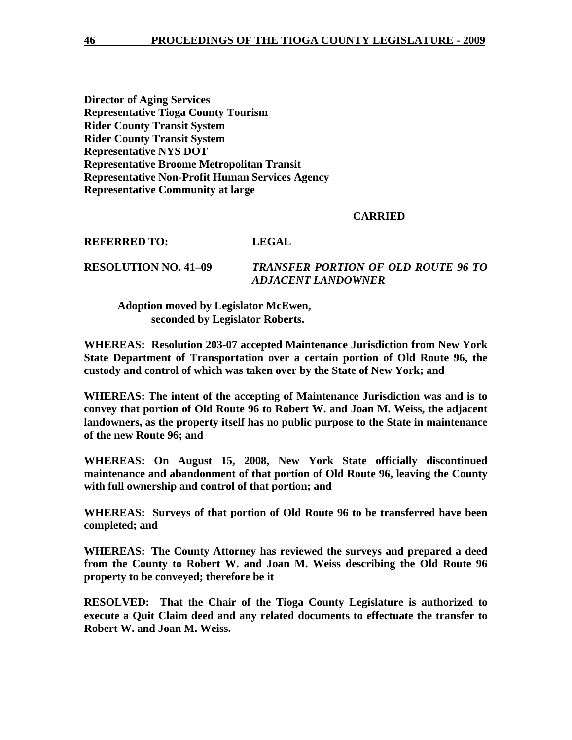**Director of Aging Services Representative Tioga County Tourism Rider County Transit System Rider County Transit System Representative NYS DOT Representative Broome Metropolitan Transit Representative Non-Profit Human Services Agency Representative Community at large** 

### **CARRIED**

**REFERRED TO: LEGAL** 

**RESOLUTION NO. 41–09** *TRANSFER PORTION OF OLD ROUTE 96 TO ADJACENT LANDOWNER* 

 **Adoption moved by Legislator McEwen, seconded by Legislator Roberts.** 

**WHEREAS: Resolution 203-07 accepted Maintenance Jurisdiction from New York State Department of Transportation over a certain portion of Old Route 96, the custody and control of which was taken over by the State of New York; and** 

**WHEREAS: The intent of the accepting of Maintenance Jurisdiction was and is to convey that portion of Old Route 96 to Robert W. and Joan M. Weiss, the adjacent landowners, as the property itself has no public purpose to the State in maintenance of the new Route 96; and** 

**WHEREAS: On August 15, 2008, New York State officially discontinued maintenance and abandonment of that portion of Old Route 96, leaving the County with full ownership and control of that portion; and** 

**WHEREAS: Surveys of that portion of Old Route 96 to be transferred have been completed; and** 

**WHEREAS: The County Attorney has reviewed the surveys and prepared a deed from the County to Robert W. and Joan M. Weiss describing the Old Route 96 property to be conveyed; therefore be it** 

**RESOLVED: That the Chair of the Tioga County Legislature is authorized to execute a Quit Claim deed and any related documents to effectuate the transfer to Robert W. and Joan M. Weiss.**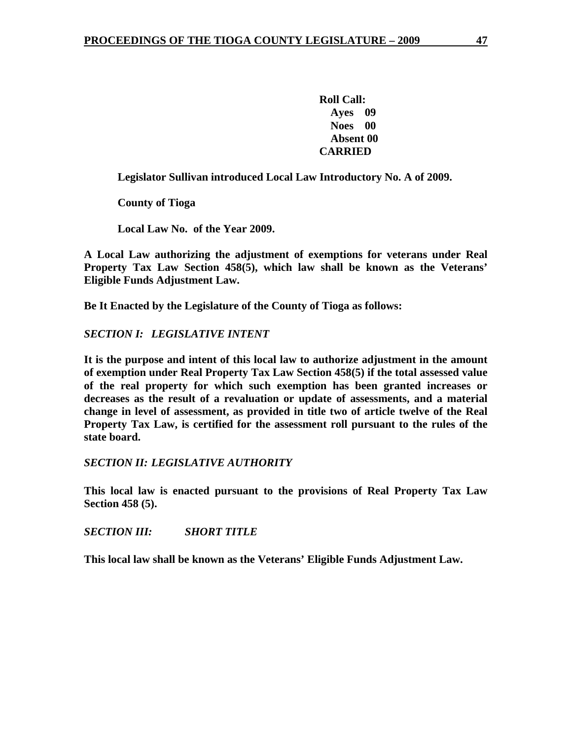**Roll Call: Ayes 09 Noes 00 Absent 00 CARRIED** 

 **Legislator Sullivan introduced Local Law Introductory No. A of 2009.** 

 **County of Tioga** 

 **Local Law No. of the Year 2009.** 

**A Local Law authorizing the adjustment of exemptions for veterans under Real Property Tax Law Section 458(5), which law shall be known as the Veterans' Eligible Funds Adjustment Law.** 

**Be It Enacted by the Legislature of the County of Tioga as follows:** 

*SECTION I: LEGISLATIVE INTENT* 

**It is the purpose and intent of this local law to authorize adjustment in the amount of exemption under Real Property Tax Law Section 458(5) if the total assessed value of the real property for which such exemption has been granted increases or decreases as the result of a revaluation or update of assessments, and a material change in level of assessment, as provided in title two of article twelve of the Real Property Tax Law, is certified for the assessment roll pursuant to the rules of the state board.** 

*SECTION II: LEGISLATIVE AUTHORITY* 

**This local law is enacted pursuant to the provisions of Real Property Tax Law Section 458 (5).** 

*SECTION III: SHORT TITLE* 

**This local law shall be known as the Veterans' Eligible Funds Adjustment Law.**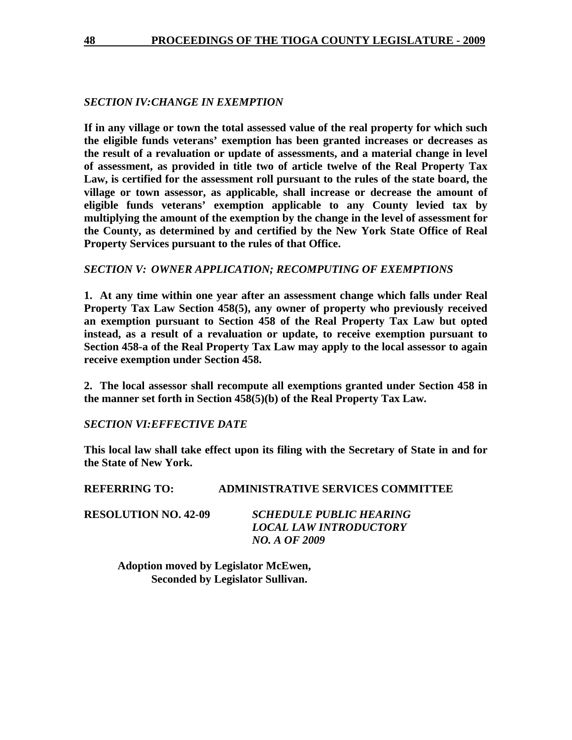## *SECTION IV: CHANGE IN EXEMPTION*

**If in any village or town the total assessed value of the real property for which such the eligible funds veterans' exemption has been granted increases or decreases as the result of a revaluation or update of assessments, and a material change in level of assessment, as provided in title two of article twelve of the Real Property Tax Law, is certified for the assessment roll pursuant to the rules of the state board, the village or town assessor, as applicable, shall increase or decrease the amount of eligible funds veterans' exemption applicable to any County levied tax by multiplying the amount of the exemption by the change in the level of assessment for the County, as determined by and certified by the New York State Office of Real Property Services pursuant to the rules of that Office.** 

### *SECTION V: OWNER APPLICATION; RECOMPUTING OF EXEMPTIONS*

**1. At any time within one year after an assessment change which falls under Real Property Tax Law Section 458(5), any owner of property who previously received an exemption pursuant to Section 458 of the Real Property Tax Law but opted instead, as a result of a revaluation or update, to receive exemption pursuant to Section 458-a of the Real Property Tax Law may apply to the local assessor to again receive exemption under Section 458.** 

**2. The local assessor shall recompute all exemptions granted under Section 458 in the manner set forth in Section 458(5)(b) of the Real Property Tax Law.** 

### *SECTION VI: EFFECTIVE DATE*

**This local law shall take effect upon its filing with the Secretary of State in and for the State of New York.** 

## **REFERRING TO: ADMINISTRATIVE SERVICES COMMITTEE**

**RESOLUTION NO. 42-09** *SCHEDULE PUBLIC HEARING LOCAL LAW INTRODUCTORY NO. A OF 2009* 

> **Adoption moved by Legislator McEwen, Seconded by Legislator Sullivan.**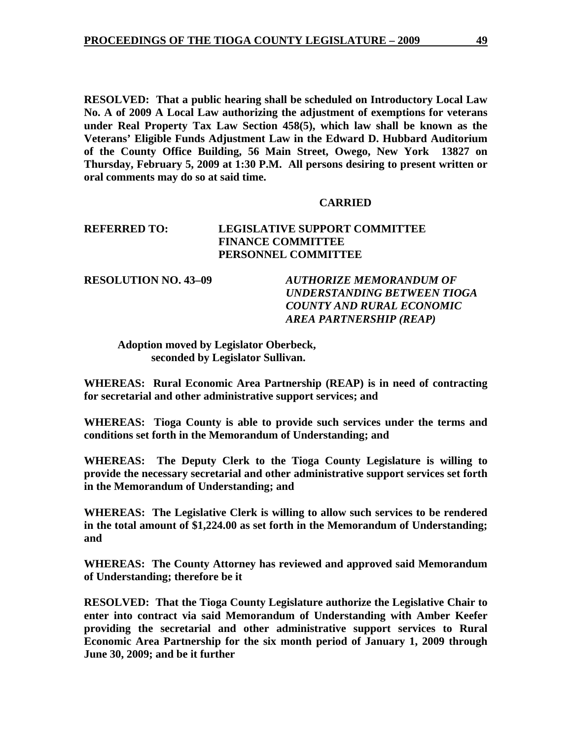**RESOLVED: That a public hearing shall be scheduled on Introductory Local Law No. A of 2009 A Local Law authorizing the adjustment of exemptions for veterans under Real Property Tax Law Section 458(5), which law shall be known as the Veterans' Eligible Funds Adjustment Law in the Edward D. Hubbard Auditorium of the County Office Building, 56 Main Street, Owego, New York 13827 on Thursday, February 5, 2009 at 1:30 P.M. All persons desiring to present written or oral comments may do so at said time.** 

### **CARRIED**

## **REFERRED TO: LEGISLATIVE SUPPORT COMMITTEE FINANCE COMMITTEE PERSONNEL COMMITTEE**

**RESOLUTION NO. 43–09** *AUTHORIZE MEMORANDUM OF UNDERSTANDING BETWEEN TIOGA COUNTY AND RURAL ECONOMIC AREA PARTNERSHIP (REAP)* 

## **Adoption moved by Legislator Oberbeck, seconded by Legislator Sullivan.**

**WHEREAS: Rural Economic Area Partnership (REAP) is in need of contracting for secretarial and other administrative support services; and** 

**WHEREAS: Tioga County is able to provide such services under the terms and conditions set forth in the Memorandum of Understanding; and** 

**WHEREAS: The Deputy Clerk to the Tioga County Legislature is willing to provide the necessary secretarial and other administrative support services set forth in the Memorandum of Understanding; and** 

**WHEREAS: The Legislative Clerk is willing to allow such services to be rendered in the total amount of \$1,224.00 as set forth in the Memorandum of Understanding; and** 

**WHEREAS: The County Attorney has reviewed and approved said Memorandum of Understanding; therefore be it** 

**RESOLVED: That the Tioga County Legislature authorize the Legislative Chair to enter into contract via said Memorandum of Understanding with Amber Keefer providing the secretarial and other administrative support services to Rural Economic Area Partnership for the six month period of January 1, 2009 through June 30, 2009; and be it further**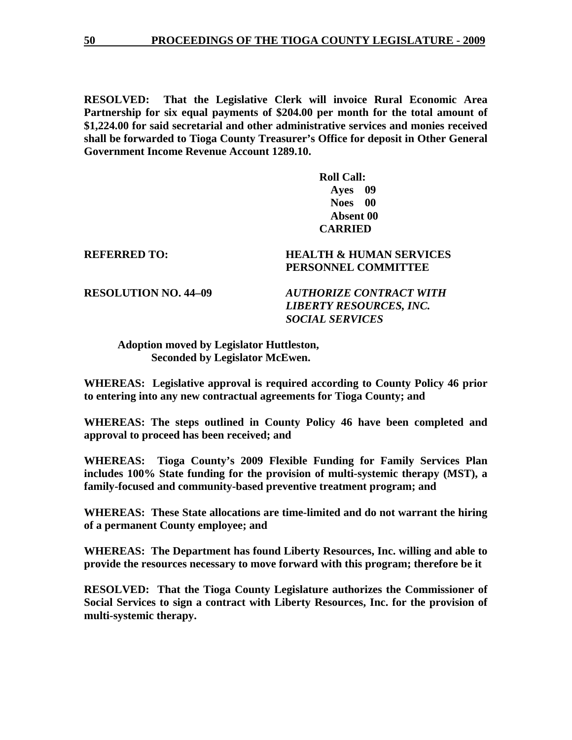**RESOLVED: That the Legislative Clerk will invoice Rural Economic Area Partnership for six equal payments of \$204.00 per month for the total amount of \$1,224.00 for said secretarial and other administrative services and monies received shall be forwarded to Tioga County Treasurer's Office for deposit in Other General Government Income Revenue Account 1289.10.** 

> **Roll Call: Ayes 09 Noes 00 Absent 00 CARRIED**

## **REFERRED TO: HEALTH & HUMAN SERVICES PERSONNEL COMMITTEE**

**RESOLUTION NO. 44–09** *AUTHORIZE CONTRACT WITH LIBERTY RESOURCES, INC. SOCIAL SERVICES* 

 **Adoption moved by Legislator Huttleston, Seconded by Legislator McEwen.** 

**WHEREAS: Legislative approval is required according to County Policy 46 prior to entering into any new contractual agreements for Tioga County; and** 

**WHEREAS: The steps outlined in County Policy 46 have been completed and approval to proceed has been received; and** 

**WHEREAS: Tioga County's 2009 Flexible Funding for Family Services Plan includes 100% State funding for the provision of multi-systemic therapy (MST), a family-focused and community-based preventive treatment program; and** 

**WHEREAS: These State allocations are time-limited and do not warrant the hiring of a permanent County employee; and** 

**WHEREAS: The Department has found Liberty Resources, Inc. willing and able to provide the resources necessary to move forward with this program; therefore be it** 

**RESOLVED: That the Tioga County Legislature authorizes the Commissioner of Social Services to sign a contract with Liberty Resources, Inc. for the provision of multi-systemic therapy.**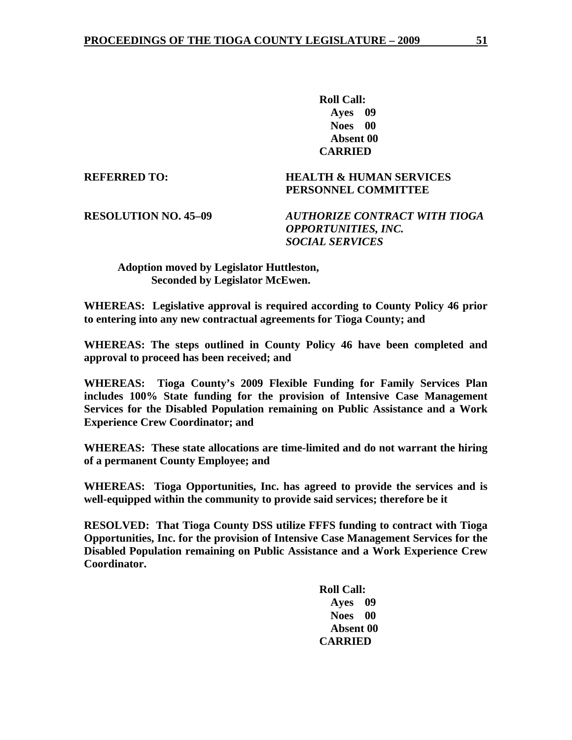**Roll Call: Ayes 09 Noes 00 Absent 00 CARRIED** 

**REFERRED TO: HEALTH & HUMAN SERVICES PERSONNEL COMMITTEE** 

**RESOLUTION NO. 45–09** *AUTHORIZE CONTRACT WITH TIOGA OPPORTUNITIES, INC. SOCIAL SERVICES* 

 **Adoption moved by Legislator Huttleston, Seconded by Legislator McEwen.** 

**WHEREAS: Legislative approval is required according to County Policy 46 prior to entering into any new contractual agreements for Tioga County; and** 

**WHEREAS: The steps outlined in County Policy 46 have been completed and approval to proceed has been received; and** 

**WHEREAS: Tioga County's 2009 Flexible Funding for Family Services Plan includes 100% State funding for the provision of Intensive Case Management Services for the Disabled Population remaining on Public Assistance and a Work Experience Crew Coordinator; and** 

**WHEREAS: These state allocations are time-limited and do not warrant the hiring of a permanent County Employee; and** 

**WHEREAS: Tioga Opportunities, Inc. has agreed to provide the services and is well-equipped within the community to provide said services; therefore be it** 

**RESOLVED: That Tioga County DSS utilize FFFS funding to contract with Tioga Opportunities, Inc. for the provision of Intensive Case Management Services for the Disabled Population remaining on Public Assistance and a Work Experience Crew Coordinator.**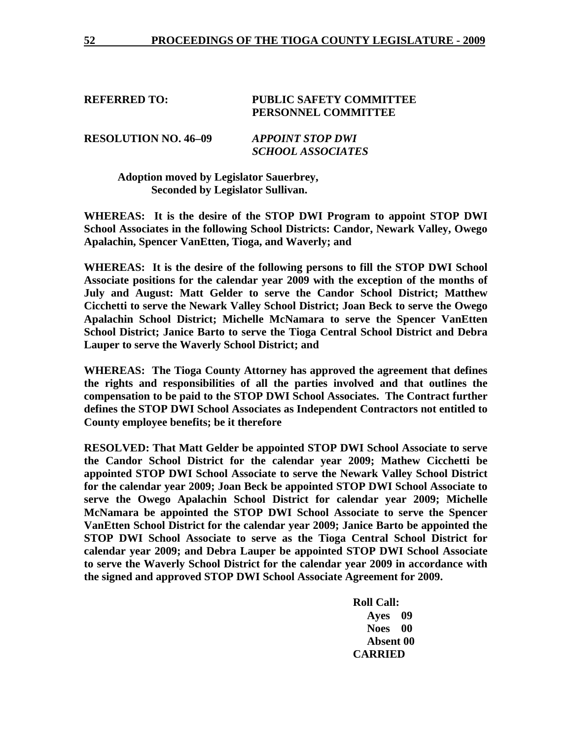### **REFERRED TO: PUBLIC SAFETY COMMITTEE PERSONNEL COMMITTEE**

**RESOLUTION NO. 46–09** *APPOINT STOP DWI SCHOOL ASSOCIATES* 

> **Adoption moved by Legislator Sauerbrey, Seconded by Legislator Sullivan.**

**WHEREAS: It is the desire of the STOP DWI Program to appoint STOP DWI School Associates in the following School Districts: Candor, Newark Valley, Owego Apalachin, Spencer VanEtten, Tioga, and Waverly; and** 

**WHEREAS: It is the desire of the following persons to fill the STOP DWI School Associate positions for the calendar year 2009 with the exception of the months of July and August: Matt Gelder to serve the Candor School District; Matthew Cicchetti to serve the Newark Valley School District; Joan Beck to serve the Owego Apalachin School District; Michelle McNamara to serve the Spencer VanEtten School District; Janice Barto to serve the Tioga Central School District and Debra Lauper to serve the Waverly School District; and** 

**WHEREAS: The Tioga County Attorney has approved the agreement that defines the rights and responsibilities of all the parties involved and that outlines the compensation to be paid to the STOP DWI School Associates. The Contract further defines the STOP DWI School Associates as Independent Contractors not entitled to County employee benefits; be it therefore** 

**RESOLVED: That Matt Gelder be appointed STOP DWI School Associate to serve the Candor School District for the calendar year 2009; Mathew Cicchetti be appointed STOP DWI School Associate to serve the Newark Valley School District for the calendar year 2009; Joan Beck be appointed STOP DWI School Associate to serve the Owego Apalachin School District for calendar year 2009; Michelle McNamara be appointed the STOP DWI School Associate to serve the Spencer VanEtten School District for the calendar year 2009; Janice Barto be appointed the STOP DWI School Associate to serve as the Tioga Central School District for calendar year 2009; and Debra Lauper be appointed STOP DWI School Associate to serve the Waverly School District for the calendar year 2009 in accordance with the signed and approved STOP DWI School Associate Agreement for 2009.**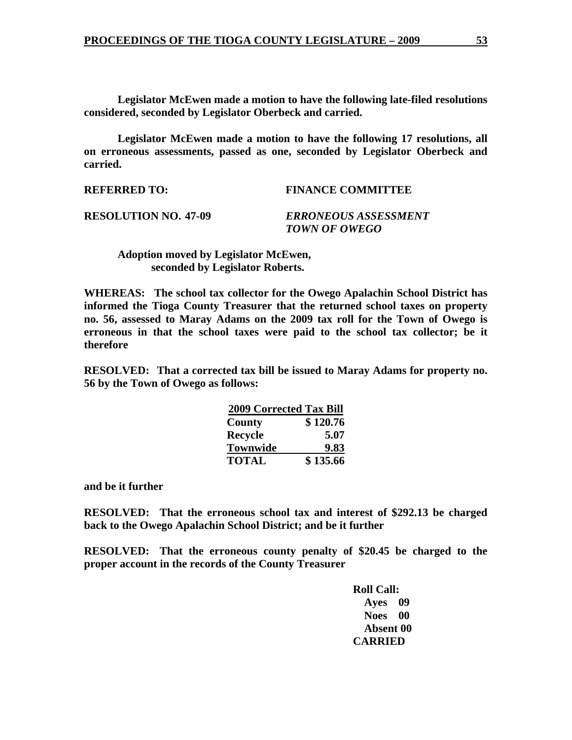**Legislator McEwen made a motion to have the following late-filed resolutions considered, seconded by Legislator Oberbeck and carried.** 

 **Legislator McEwen made a motion to have the following 17 resolutions, all on erroneous assessments, passed as one, seconded by Legislator Oberbeck and carried.** 

**REFERRED TO: FINANCE COMMITTEE** 

**RESOLUTION NO. 47-09** *ERRONEOUS ASSESSMENT TOWN OF OWEGO* 

 **Adoption moved by Legislator McEwen, seconded by Legislator Roberts.** 

**WHEREAS: The school tax collector for the Owego Apalachin School District has informed the Tioga County Treasurer that the returned school taxes on property no. 56, assessed to Maray Adams on the 2009 tax roll for the Town of Owego is erroneous in that the school taxes were paid to the school tax collector; be it therefore** 

**RESOLVED: That a corrected tax bill be issued to Maray Adams for property no. 56 by the Town of Owego as follows:** 

| <b>2009 Corrected Tax Bill</b> |          |
|--------------------------------|----------|
| County                         | \$120.76 |
| <b>Recycle</b>                 | 5.07     |
| <b>Townwide</b>                | 9.83     |
| <b>TOTAL</b>                   | \$135.66 |

**and be it further** 

**RESOLVED: That the erroneous school tax and interest of \$292.13 be charged back to the Owego Apalachin School District; and be it further** 

**RESOLVED: That the erroneous county penalty of \$20.45 be charged to the proper account in the records of the County Treasurer**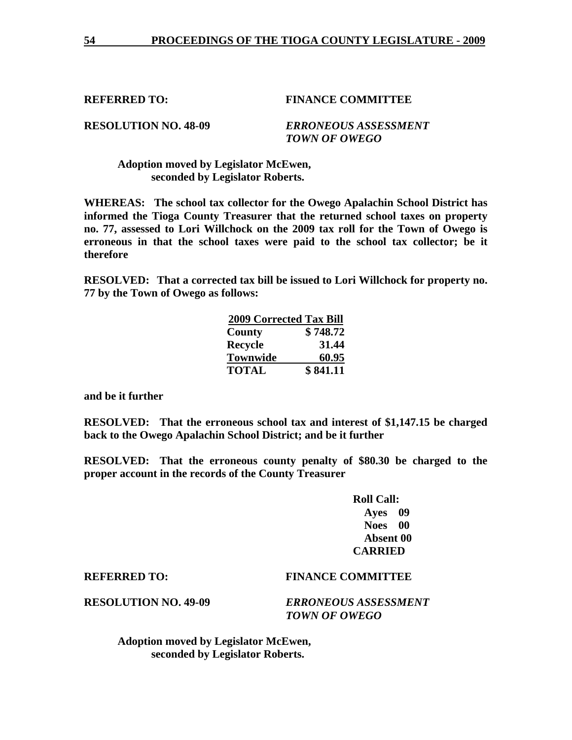**RESOLUTION NO. 48-09** *ERRONEOUS ASSESSMENT TOWN OF OWEGO* 

 **Adoption moved by Legislator McEwen, seconded by Legislator Roberts.** 

**WHEREAS: The school tax collector for the Owego Apalachin School District has informed the Tioga County Treasurer that the returned school taxes on property no. 77, assessed to Lori Willchock on the 2009 tax roll for the Town of Owego is erroneous in that the school taxes were paid to the school tax collector; be it therefore** 

**RESOLVED: That a corrected tax bill be issued to Lori Willchock for property no. 77 by the Town of Owego as follows:** 

| <b>2009 Corrected Tax Bill</b> |          |
|--------------------------------|----------|
| County                         | \$748.72 |
| <b>Recycle</b>                 | 31.44    |
| <b>Townwide</b>                | 60.95    |
| <b>TOTAL</b>                   | \$841.11 |

**and be it further** 

**RESOLVED: That the erroneous school tax and interest of \$1,147.15 be charged back to the Owego Apalachin School District; and be it further** 

**RESOLVED: That the erroneous county penalty of \$80.30 be charged to the proper account in the records of the County Treasurer** 

| <b>Roll Call:</b> |      |
|-------------------|------|
| Ayes 09           |      |
| <b>Noes</b>       | - 00 |
| Absent 00         |      |
| <b>CARRIED</b>    |      |

## **REFERRED TO: FINANCE COMMITTEE**

**RESOLUTION NO. 49-09** *ERRONEOUS ASSESSMENT TOWN OF OWEGO* 

 **Adoption moved by Legislator McEwen, seconded by Legislator Roberts.**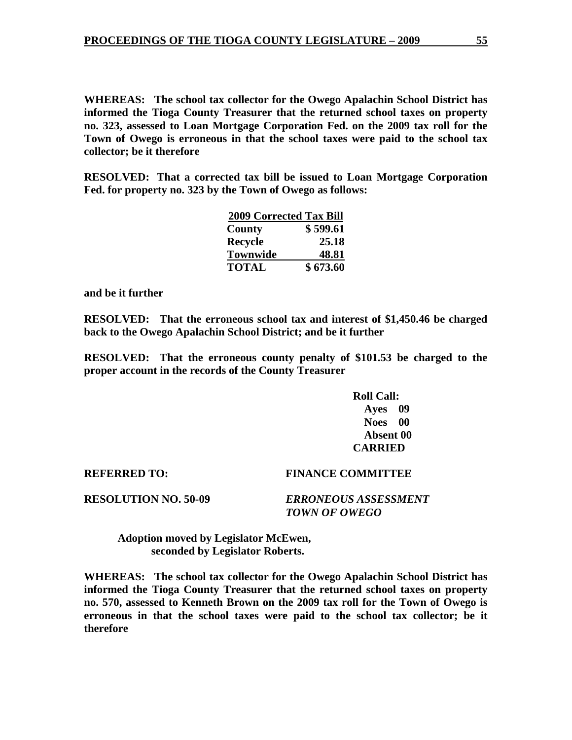**WHEREAS: The school tax collector for the Owego Apalachin School District has informed the Tioga County Treasurer that the returned school taxes on property no. 323, assessed to Loan Mortgage Corporation Fed. on the 2009 tax roll for the Town of Owego is erroneous in that the school taxes were paid to the school tax collector; be it therefore** 

**RESOLVED: That a corrected tax bill be issued to Loan Mortgage Corporation Fed. for property no. 323 by the Town of Owego as follows:** 

|                 | <b>2009 Corrected Tax Bill</b> |
|-----------------|--------------------------------|
| County          | \$599.61                       |
| Recycle         | 25.18                          |
| <b>Townwide</b> | 48.81                          |
| <b>TOTAL</b>    | \$673.60                       |

**and be it further** 

**RESOLVED: That the erroneous school tax and interest of \$1,450.46 be charged back to the Owego Apalachin School District; and be it further** 

**RESOLVED: That the erroneous county penalty of \$101.53 be charged to the proper account in the records of the County Treasurer** 

> **Roll Call: Ayes 09 Noes 00 Absent 00 CARRIED**

# **REFERRED TO: FINANCE COMMITTEE**

**RESOLUTION NO. 50-09** *ERRONEOUS ASSESSMENT TOWN OF OWEGO* 

 **Adoption moved by Legislator McEwen, seconded by Legislator Roberts.** 

**WHEREAS: The school tax collector for the Owego Apalachin School District has informed the Tioga County Treasurer that the returned school taxes on property no. 570, assessed to Kenneth Brown on the 2009 tax roll for the Town of Owego is erroneous in that the school taxes were paid to the school tax collector; be it therefore**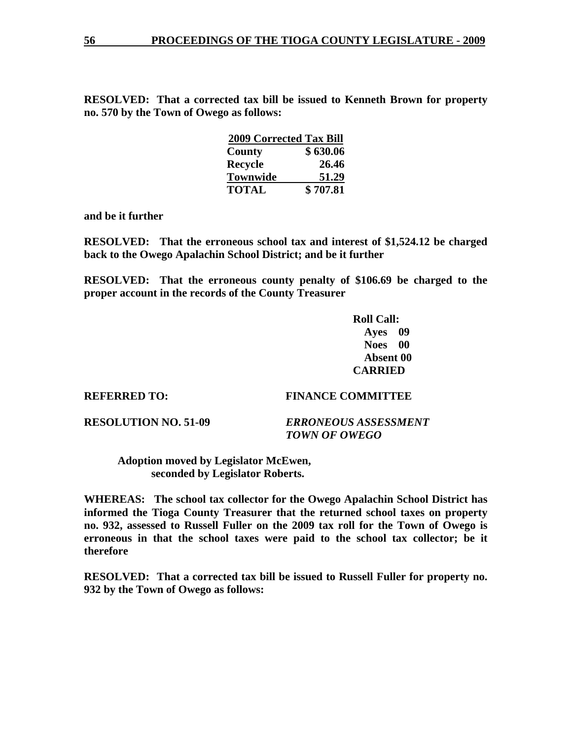**RESOLVED: That a corrected tax bill be issued to Kenneth Brown for property no. 570 by the Town of Owego as follows:** 

| <b>2009 Corrected Tax Bill</b> |          |
|--------------------------------|----------|
| County                         | \$630.06 |
| <b>Recycle</b>                 | 26.46    |
| <b>Townwide</b>                | 51.29    |
| <b>TOTAL</b>                   | \$707.81 |

**and be it further** 

**RESOLVED: That the erroneous school tax and interest of \$1,524.12 be charged back to the Owego Apalachin School District; and be it further** 

**RESOLVED: That the erroneous county penalty of \$106.69 be charged to the proper account in the records of the County Treasurer** 

> **Roll Call: Ayes 09 Noes 00 Absent 00 CARRIED**

### **REFERRED TO: FINANCE COMMITTEE**

**RESOLUTION NO. 51-09** *ERRONEOUS ASSESSMENT TOWN OF OWEGO* 

 **Adoption moved by Legislator McEwen, seconded by Legislator Roberts.** 

**WHEREAS: The school tax collector for the Owego Apalachin School District has informed the Tioga County Treasurer that the returned school taxes on property no. 932, assessed to Russell Fuller on the 2009 tax roll for the Town of Owego is erroneous in that the school taxes were paid to the school tax collector; be it therefore** 

**RESOLVED: That a corrected tax bill be issued to Russell Fuller for property no. 932 by the Town of Owego as follows:**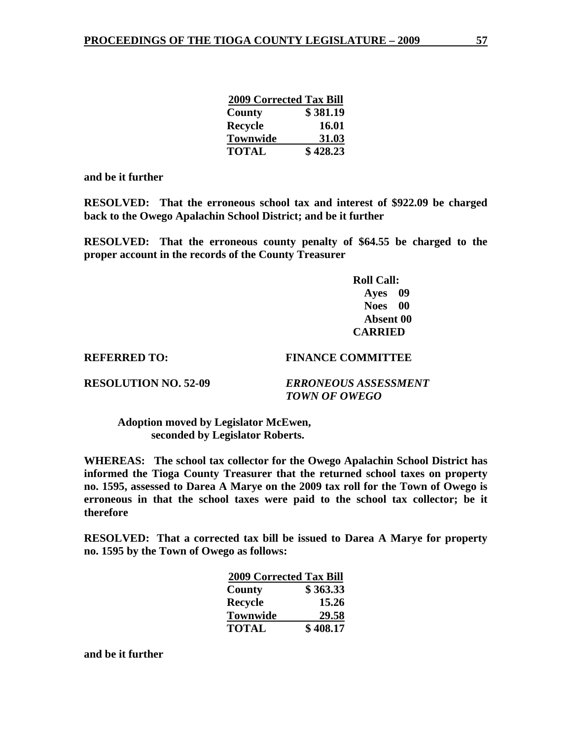| <b>2009 Corrected Tax Bill</b> |              |
|--------------------------------|--------------|
| County                         | \$381.19     |
| Recycle                        | <b>16.01</b> |
| <b>Townwide</b>                | 31.03        |
| <b>TOTAL</b>                   | \$428.23     |

**and be it further** 

**RESOLVED: That the erroneous school tax and interest of \$922.09 be charged back to the Owego Apalachin School District; and be it further** 

**RESOLVED: That the erroneous county penalty of \$64.55 be charged to the proper account in the records of the County Treasurer** 

> **Roll Call: Ayes 09 Noes 00 Absent 00 CARRIED**

### **REFERRED TO: FINANCE COMMITTEE**

**RESOLUTION NO. 52-09** *ERRONEOUS ASSESSMENT TOWN OF OWEGO* 

 **Adoption moved by Legislator McEwen, seconded by Legislator Roberts.** 

**WHEREAS: The school tax collector for the Owego Apalachin School District has informed the Tioga County Treasurer that the returned school taxes on property no. 1595, assessed to Darea A Marye on the 2009 tax roll for the Town of Owego is erroneous in that the school taxes were paid to the school tax collector; be it therefore** 

**RESOLVED: That a corrected tax bill be issued to Darea A Marye for property no. 1595 by the Town of Owego as follows:** 

| <b>2009 Corrected Tax Bill</b> |          |
|--------------------------------|----------|
| County                         | \$363.33 |
| <b>Recycle</b>                 | 15.26    |
| <b>Townwide</b>                | 29.58    |
| <b>TOTAL</b>                   | \$408.17 |

**and be it further**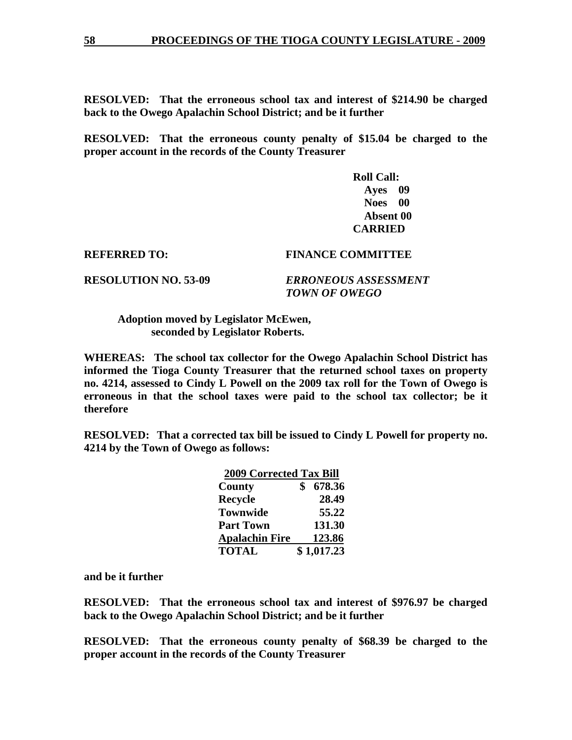**RESOLVED: That the erroneous school tax and interest of \$214.90 be charged back to the Owego Apalachin School District; and be it further** 

**RESOLVED: That the erroneous county penalty of \$15.04 be charged to the proper account in the records of the County Treasurer** 

> **Roll Call: Ayes 09 Noes 00 Absent 00 CARRIED**

### **REFERRED TO: FINANCE COMMITTEE**

**RESOLUTION NO. 53-09** *ERRONEOUS ASSESSMENT TOWN OF OWEGO* 

 **Adoption moved by Legislator McEwen, seconded by Legislator Roberts.** 

**WHEREAS: The school tax collector for the Owego Apalachin School District has informed the Tioga County Treasurer that the returned school taxes on property no. 4214, assessed to Cindy L Powell on the 2009 tax roll for the Town of Owego is erroneous in that the school taxes were paid to the school tax collector; be it therefore** 

**RESOLVED: That a corrected tax bill be issued to Cindy L Powell for property no. 4214 by the Town of Owego as follows:** 

|                       | <b>2009 Corrected Tax Bill</b> |            |
|-----------------------|--------------------------------|------------|
| County                |                                | 678.36     |
| <b>Recycle</b>        |                                | 28.49      |
| <b>Townwide</b>       |                                | 55.22      |
| <b>Part Town</b>      |                                | 131.30     |
| <b>Apalachin Fire</b> |                                | 123.86     |
| <b>TOTAL</b>          |                                | \$1,017.23 |

**and be it further** 

**RESOLVED: That the erroneous school tax and interest of \$976.97 be charged back to the Owego Apalachin School District; and be it further** 

**RESOLVED: That the erroneous county penalty of \$68.39 be charged to the proper account in the records of the County Treasurer**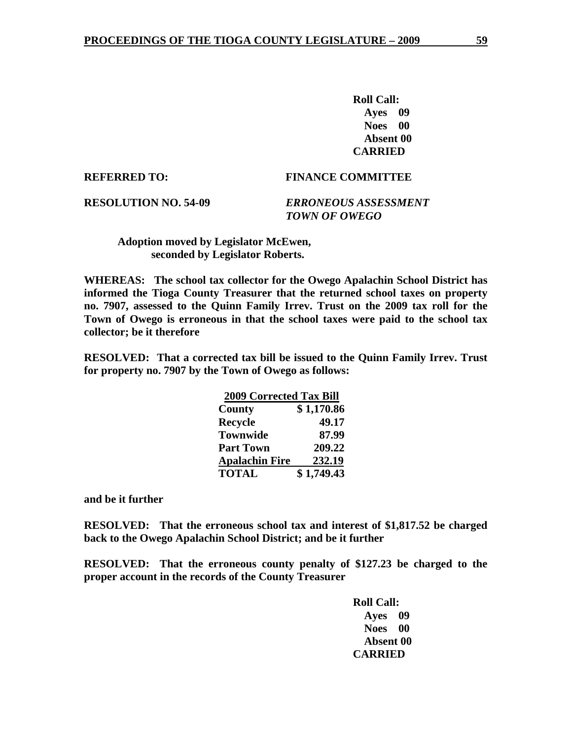**Roll Call: Ayes 09 Noes 00 Absent 00 CARRIED** 

### **REFERRED TO: FINANCE COMMITTEE**

**RESOLUTION NO. 54-09** *ERRONEOUS ASSESSMENT TOWN OF OWEGO* 

 **Adoption moved by Legislator McEwen, seconded by Legislator Roberts.** 

**WHEREAS: The school tax collector for the Owego Apalachin School District has informed the Tioga County Treasurer that the returned school taxes on property no. 7907, assessed to the Quinn Family Irrev. Trust on the 2009 tax roll for the Town of Owego is erroneous in that the school taxes were paid to the school tax collector; be it therefore** 

**RESOLVED: That a corrected tax bill be issued to the Quinn Family Irrev. Trust for property no. 7907 by the Town of Owego as follows:** 

|                       | <b>2009 Corrected Tax Bill</b> |  |
|-----------------------|--------------------------------|--|
| County                | \$1,170.86                     |  |
| <b>Recycle</b>        | 49.17                          |  |
| <b>Townwide</b>       | 87.99                          |  |
| <b>Part Town</b>      | 209.22                         |  |
| <b>Apalachin Fire</b> | 232.19                         |  |
| <b>TOTAL</b>          | \$1,749.43                     |  |

**and be it further** 

**RESOLVED: That the erroneous school tax and interest of \$1,817.52 be charged back to the Owego Apalachin School District; and be it further** 

**RESOLVED: That the erroneous county penalty of \$127.23 be charged to the proper account in the records of the County Treasurer**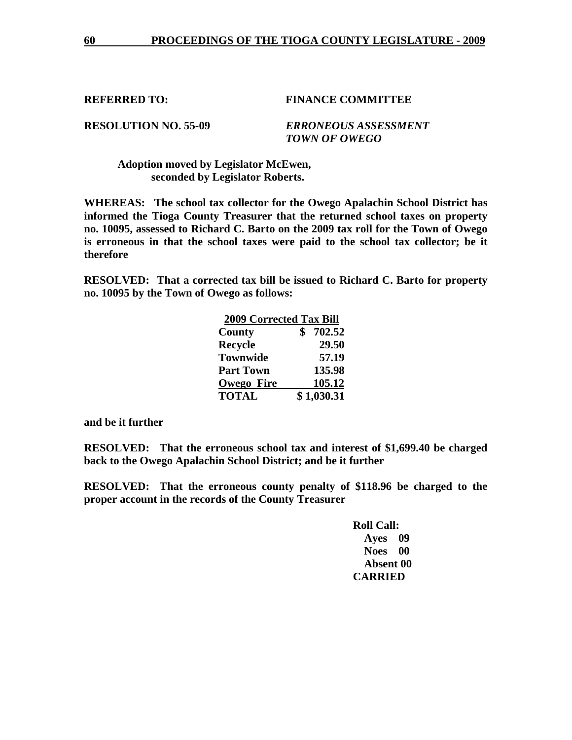**RESOLUTION NO. 55-09** *ERRONEOUS ASSESSMENT TOWN OF OWEGO* 

 **Adoption moved by Legislator McEwen, seconded by Legislator Roberts.** 

**WHEREAS: The school tax collector for the Owego Apalachin School District has informed the Tioga County Treasurer that the returned school taxes on property no. 10095, assessed to Richard C. Barto on the 2009 tax roll for the Town of Owego is erroneous in that the school taxes were paid to the school tax collector; be it therefore** 

**RESOLVED: That a corrected tax bill be issued to Richard C. Barto for property no. 10095 by the Town of Owego as follows:** 

| <b>2009 Corrected Tax Bill</b> |            |
|--------------------------------|------------|
| County                         | 702.52     |
| <b>Recycle</b>                 | 29.50      |
| <b>Townwide</b>                | 57.19      |
| <b>Part Town</b>               | 135.98     |
| <b>Owego Fire</b>              | 105.12     |
| <b>TOTAL</b>                   | \$1,030.31 |

**and be it further** 

**RESOLVED: That the erroneous school tax and interest of \$1,699.40 be charged back to the Owego Apalachin School District; and be it further** 

**RESOLVED: That the erroneous county penalty of \$118.96 be charged to the proper account in the records of the County Treasurer**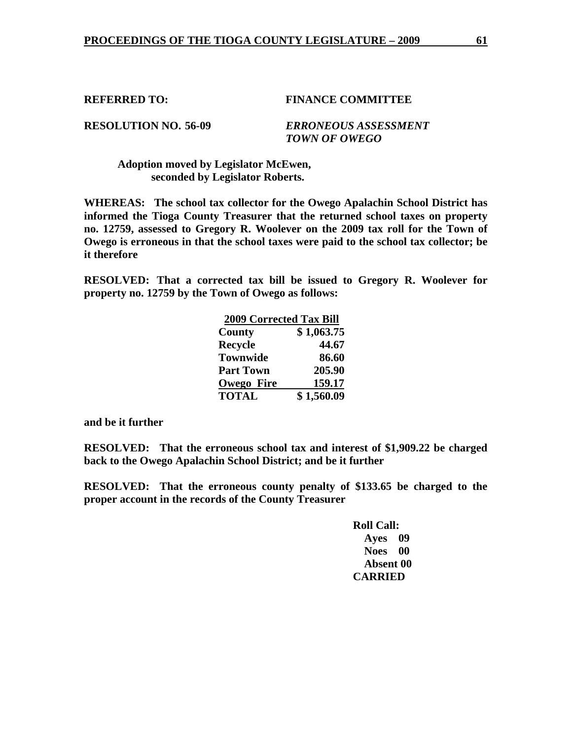**RESOLUTION NO. 56-09** *ERRONEOUS ASSESSMENT TOWN OF OWEGO* 

 **Adoption moved by Legislator McEwen, seconded by Legislator Roberts.** 

**WHEREAS: The school tax collector for the Owego Apalachin School District has informed the Tioga County Treasurer that the returned school taxes on property no. 12759, assessed to Gregory R. Woolever on the 2009 tax roll for the Town of Owego is erroneous in that the school taxes were paid to the school tax collector; be it therefore** 

**RESOLVED: That a corrected tax bill be issued to Gregory R. Woolever for property no. 12759 by the Town of Owego as follows:** 

|                   | <b>2009 Corrected Tax Bill</b> |  |
|-------------------|--------------------------------|--|
| County            | \$1,063.75                     |  |
| Recycle           | 44.67                          |  |
| <b>Townwide</b>   | 86.60                          |  |
| <b>Part Town</b>  | 205.90                         |  |
| <b>Owego Fire</b> | 159.17                         |  |
| <b>TOTAL</b>      | \$1,560.09                     |  |

**and be it further** 

**RESOLVED: That the erroneous school tax and interest of \$1,909.22 be charged back to the Owego Apalachin School District; and be it further** 

**RESOLVED: That the erroneous county penalty of \$133.65 be charged to the proper account in the records of the County Treasurer**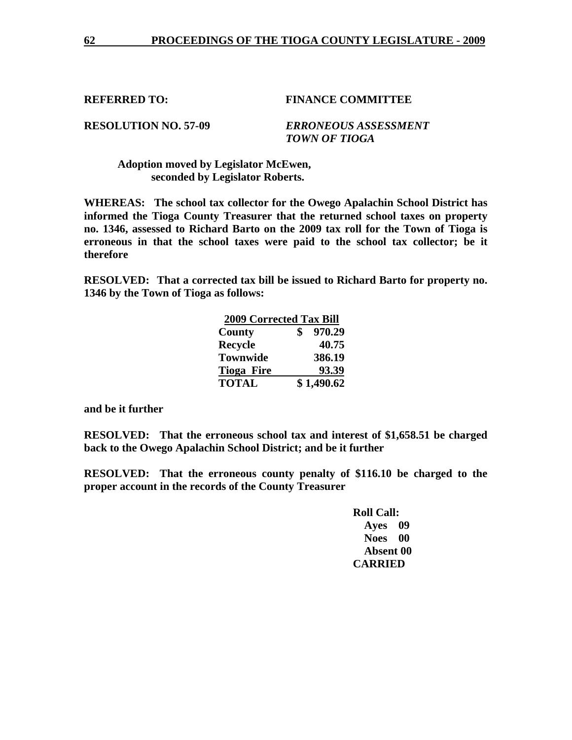**RESOLUTION NO. 57-09** *ERRONEOUS ASSESSMENT TOWN OF TIOGA* 

 **Adoption moved by Legislator McEwen, seconded by Legislator Roberts.** 

**WHEREAS: The school tax collector for the Owego Apalachin School District has informed the Tioga County Treasurer that the returned school taxes on property no. 1346, assessed to Richard Barto on the 2009 tax roll for the Town of Tioga is erroneous in that the school taxes were paid to the school tax collector; be it therefore** 

**RESOLVED: That a corrected tax bill be issued to Richard Barto for property no. 1346 by the Town of Tioga as follows:** 

| <b>2009 Corrected Tax Bill</b> |  |            |
|--------------------------------|--|------------|
| County                         |  | 970.29     |
| <b>Recycle</b>                 |  | 40.75      |
| <b>Townwide</b>                |  | 386.19     |
| <b>Tioga Fire</b>              |  | 93.39      |
| <b>TOTAL</b>                   |  | \$1,490.62 |

**and be it further** 

**RESOLVED: That the erroneous school tax and interest of \$1,658.51 be charged back to the Owego Apalachin School District; and be it further** 

**RESOLVED: That the erroneous county penalty of \$116.10 be charged to the proper account in the records of the County Treasurer** 

| <b>Roll Call:</b> |           |
|-------------------|-----------|
| Ayes 09           |           |
| <b>Noes</b>       | $\bf{00}$ |
| Absent 00         |           |
| <b>CARRIED</b>    |           |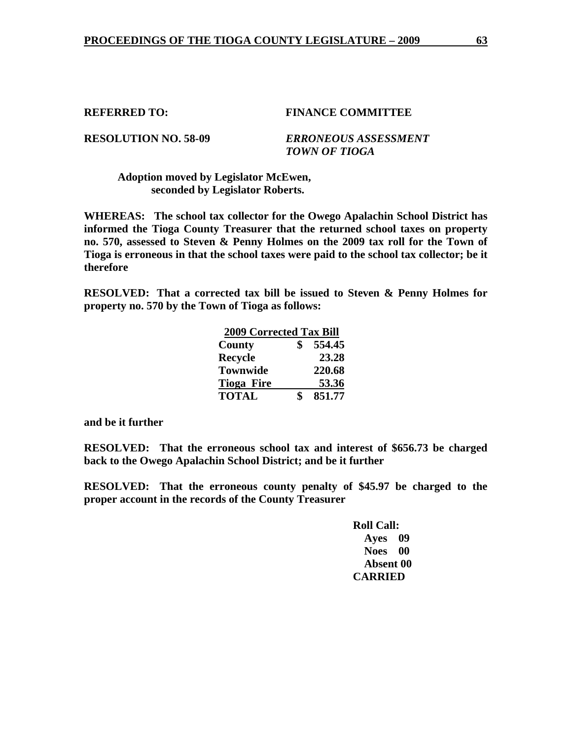**RESOLUTION NO. 58-09** *ERRONEOUS ASSESSMENT TOWN OF TIOGA* 

### **Adoption moved by Legislator McEwen, seconded by Legislator Roberts.**

**WHEREAS: The school tax collector for the Owego Apalachin School District has informed the Tioga County Treasurer that the returned school taxes on property no. 570, assessed to Steven & Penny Holmes on the 2009 tax roll for the Town of Tioga is erroneous in that the school taxes were paid to the school tax collector; be it therefore** 

**RESOLVED: That a corrected tax bill be issued to Steven & Penny Holmes for property no. 570 by the Town of Tioga as follows:** 

|                | <b>2009 Corrected Tax Bill</b> |        |
|----------------|--------------------------------|--------|
| County         |                                | 554.45 |
| <b>Recycle</b> |                                | 23.28  |
|                | <b>Townwide</b>                | 220.68 |
|                | <b>Tioga Fire</b>              | 53.36  |
| <b>TOTAL</b>   |                                | 851.77 |

**and be it further** 

**RESOLVED: That the erroneous school tax and interest of \$656.73 be charged back to the Owego Apalachin School District; and be it further** 

**RESOLVED: That the erroneous county penalty of \$45.97 be charged to the proper account in the records of the County Treasurer**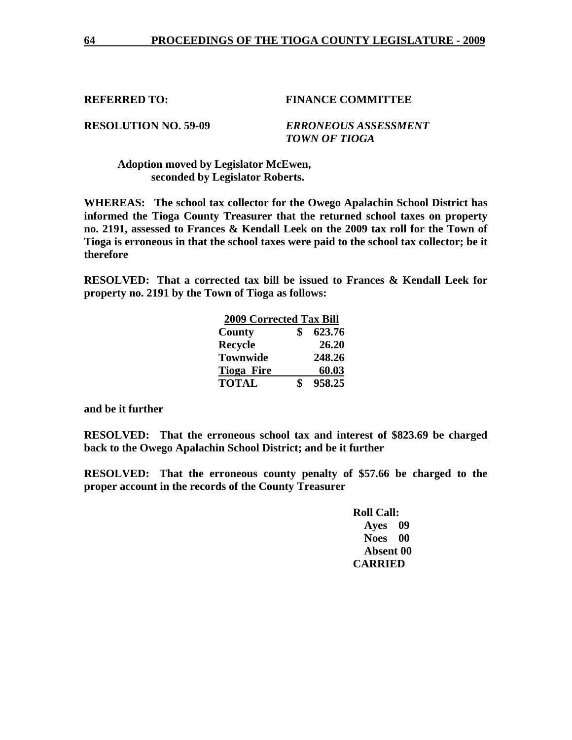**RESOLUTION NO. 59-09** *ERRONEOUS ASSESSMENT TOWN OF TIOGA* 

 **Adoption moved by Legislator McEwen, seconded by Legislator Roberts.** 

**WHEREAS: The school tax collector for the Owego Apalachin School District has informed the Tioga County Treasurer that the returned school taxes on property no. 2191, assessed to Frances & Kendall Leek on the 2009 tax roll for the Town of Tioga is erroneous in that the school taxes were paid to the school tax collector; be it therefore** 

**RESOLVED: That a corrected tax bill be issued to Frances & Kendall Leek for property no. 2191 by the Town of Tioga as follows:** 

| <b>2009 Corrected Tax Bill</b> |  |        |
|--------------------------------|--|--------|
| County                         |  | 623.76 |
| <b>Recycle</b>                 |  | 26.20  |
| <b>Townwide</b>                |  | 248.26 |
| <b>Tioga Fire</b>              |  | 60.03  |
| <b>TOTAL</b>                   |  | 958.25 |

**and be it further** 

**RESOLVED: That the erroneous school tax and interest of \$823.69 be charged back to the Owego Apalachin School District; and be it further** 

**RESOLVED: That the erroneous county penalty of \$57.66 be charged to the proper account in the records of the County Treasurer**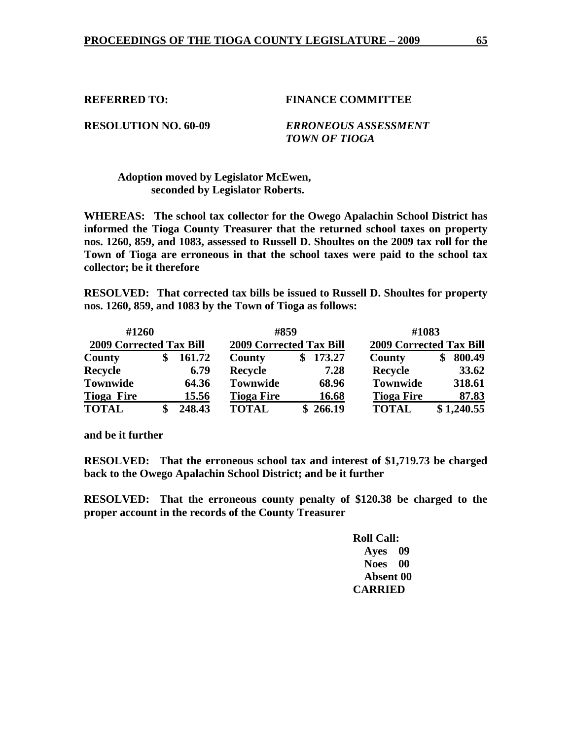**RESOLUTION NO. 60-09** *ERRONEOUS ASSESSMENT TOWN OF TIOGA* 

## **Adoption moved by Legislator McEwen, seconded by Legislator Roberts.**

**WHEREAS: The school tax collector for the Owego Apalachin School District has informed the Tioga County Treasurer that the returned school taxes on property nos. 1260, 859, and 1083, assessed to Russell D. Shoultes on the 2009 tax roll for the Town of Tioga are erroneous in that the school taxes were paid to the school tax collector; be it therefore** 

**RESOLVED: That corrected tax bills be issued to Russell D. Shoultes for property nos. 1260, 859, and 1083 by the Town of Tioga as follows:** 

| #1260                          |        | #859                           |              | #1083                          |              |
|--------------------------------|--------|--------------------------------|--------------|--------------------------------|--------------|
| <b>2009 Corrected Tax Bill</b> |        | <b>2009 Corrected Tax Bill</b> |              | <b>2009 Corrected Tax Bill</b> |              |
| County                         | 161.72 | <b>County</b>                  | 173.27<br>\$ | County                         | 800.49<br>\$ |
| Recycle                        | 6.79   | <b>Recycle</b>                 | 7.28         | Recycle                        | 33.62        |
| <b>Townwide</b>                | 64.36  | <b>Townwide</b>                | 68.96        | <b>Townwide</b>                | 318.61       |
| <b>Tioga Fire</b>              | 15.56  | <b>Tioga Fire</b>              | 16.68        | <b>Tioga Fire</b>              | 87.83        |
| <b>TOTAL</b>                   | 248.43 | <b>TOTAL</b>                   | \$266.19     | <b>TOTAL</b>                   | \$1,240.55   |

**and be it further** 

**RESOLVED: That the erroneous school tax and interest of \$1,719.73 be charged back to the Owego Apalachin School District; and be it further** 

**RESOLVED: That the erroneous county penalty of \$120.38 be charged to the proper account in the records of the County Treasurer**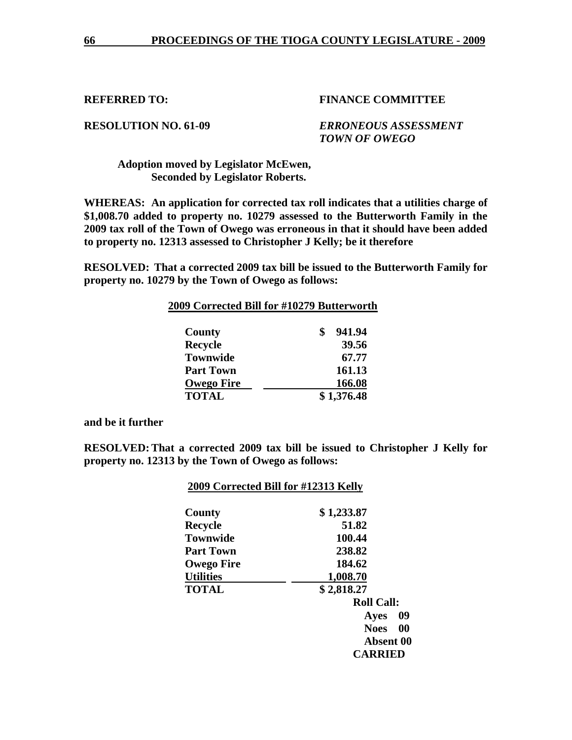**RESOLUTION NO. 61-09** *ERRONEOUS ASSESSMENT TOWN OF OWEGO* 

## **Adoption moved by Legislator McEwen, Seconded by Legislator Roberts.**

**WHEREAS: An application for corrected tax roll indicates that a utilities charge of \$1,008.70 added to property no. 10279 assessed to the Butterworth Family in the 2009 tax roll of the Town of Owego was erroneous in that it should have been added to property no. 12313 assessed to Christopher J Kelly; be it therefore** 

**RESOLVED: That a corrected 2009 tax bill be issued to the Butterworth Family for property no. 10279 by the Town of Owego as follows:** 

| 2009 Corrected Bill for #10279 Butterworth |            |       |
|--------------------------------------------|------------|-------|
| County                                     | 941.94     |       |
| <b>Recycle</b>                             |            | 39.56 |
| <b>Townwide</b>                            |            | 67.77 |
| <b>Part Town</b>                           | 161.13     |       |
| <b>Owego Fire</b>                          | 166.08     |       |
| <b>TOTAL</b>                               | \$1,376.48 |       |

**and be it further** 

**RESOLVED: That a corrected 2009 tax bill be issued to Christopher J Kelly for property no. 12313 by the Town of Owego as follows:** 

| County            | \$1,233.87               |
|-------------------|--------------------------|
| <b>Recycle</b>    | 51.82                    |
| <b>Townwide</b>   | 100.44                   |
| <b>Part Town</b>  | 238.82                   |
| <b>Owego Fire</b> | 184.62                   |
| <b>Utilities</b>  | 1,008.70                 |
| <b>TOTAL</b>      | \$2,818.27               |
|                   | <b>Roll Call:</b>        |
|                   | 09<br>Ayes               |
|                   | $\bf{00}$<br><b>Noes</b> |
|                   | Absent 00                |
|                   | <b>CARRIED</b>           |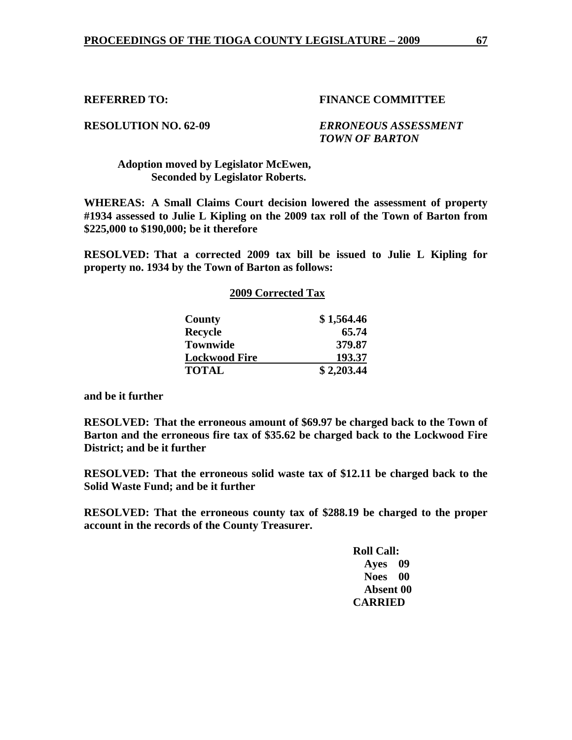**RESOLUTION NO. 62-09** *ERRONEOUS ASSESSMENT TOWN OF BARTON* 

## **Adoption moved by Legislator McEwen, Seconded by Legislator Roberts.**

**WHEREAS: A Small Claims Court decision lowered the assessment of property #1934 assessed to Julie L Kipling on the 2009 tax roll of the Town of Barton from \$225,000 to \$190,000; be it therefore** 

**RESOLVED: That a corrected 2009 tax bill be issued to Julie L Kipling for property no. 1934 by the Town of Barton as follows:** 

## **2009 Corrected Tax**

| County               | \$1,564.46 |
|----------------------|------------|
| <b>Recycle</b>       | 65.74      |
| <b>Townwide</b>      | 379.87     |
| <b>Lockwood Fire</b> | 193.37     |
| <b>TOTAL</b>         | \$2,203.44 |

**and be it further** 

**RESOLVED: That the erroneous amount of \$69.97 be charged back to the Town of Barton and the erroneous fire tax of \$35.62 be charged back to the Lockwood Fire District; and be it further** 

**RESOLVED: That the erroneous solid waste tax of \$12.11 be charged back to the Solid Waste Fund; and be it further** 

**RESOLVED: That the erroneous county tax of \$288.19 be charged to the proper account in the records of the County Treasurer.**